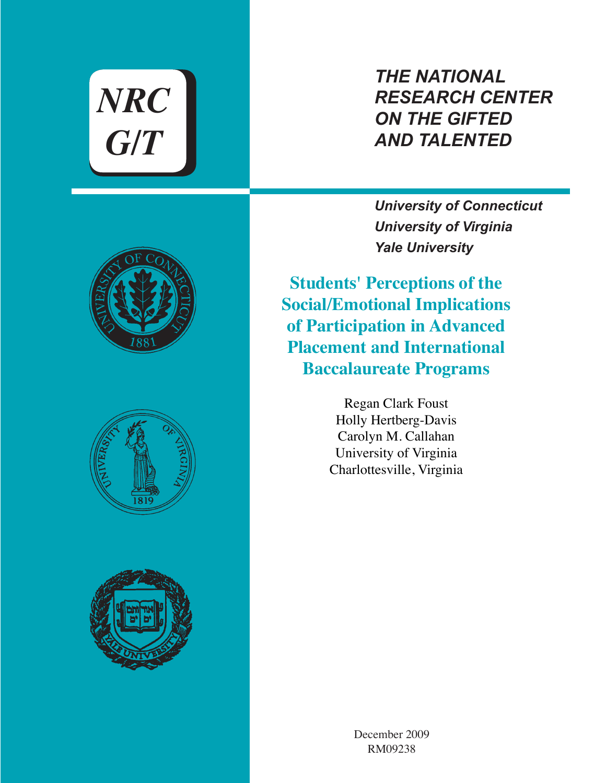*NRC G/T*

# *THE NATIONAL RESEARCH CENTER ON THE GIFTED AND TALENTED*

*University of Connecticut University of Virginia Yale University*

**Students' Perceptions of the Social/Emotional Implications of Participation in Advanced Placement and International Baccalaureate Programs**

> Regan Clark Foust Holly Hertberg-Davis Carolyn M. Callahan University of Virginia Charlottesville, Virginia







December 2009 RM09238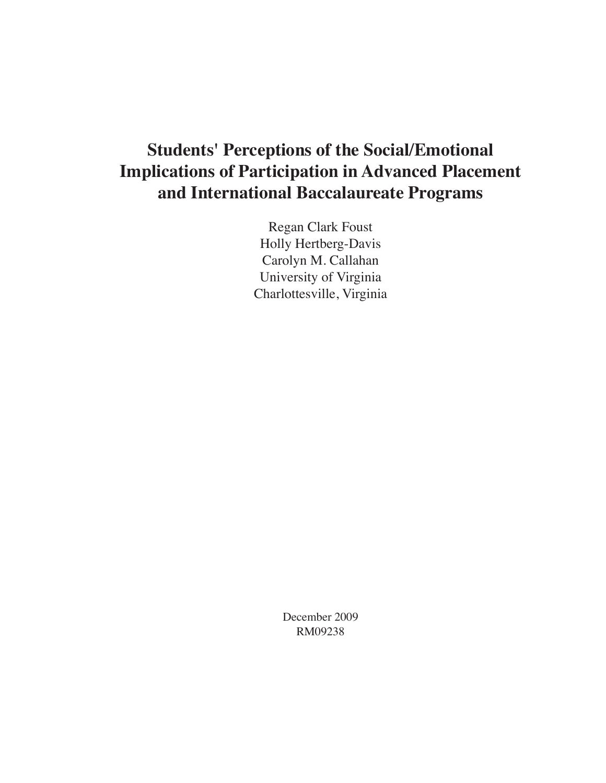# **Students' Perceptions of the Social/Emotional Implications of Participation in Advanced Placement and International Baccalaureate Programs**

Regan Clark Foust Holly Hertberg-Davis Carolyn M. Callahan University of Virginia Charlottesville, Virginia

> December 2009 RM09238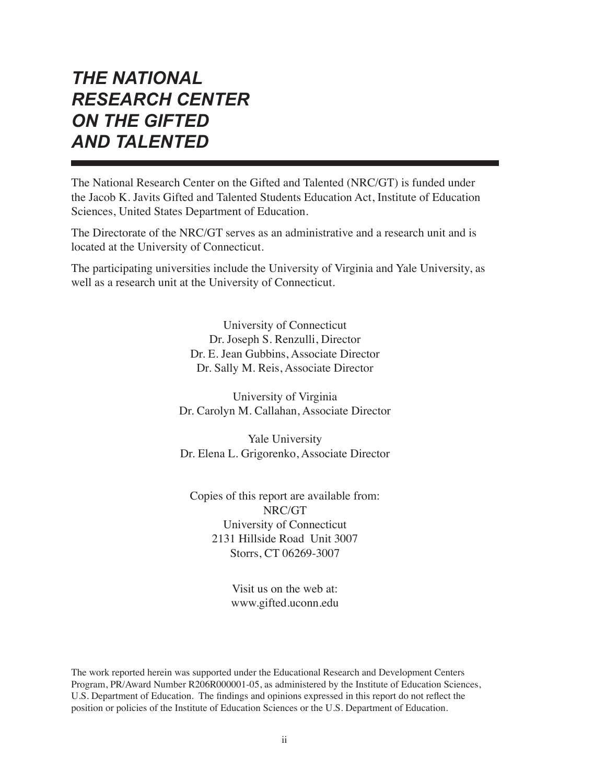# *THE NATIONAL RESEARCH CENTER ON THE GIFTED AND TALENTED*

The National Research Center on the Gifted and Talented (NRC/GT) is funded under the Jacob K. Javits Gifted and Talented Students Education Act, Institute of Education Sciences, United States Department of Education.

The Directorate of the NRC/GT serves as an administrative and a research unit and is located at the University of Connecticut.

The participating universities include the University of Virginia and Yale University, as well as a research unit at the University of Connecticut.

> University of Connecticut Dr. Joseph S. Renzulli, Director Dr. E. Jean Gubbins, Associate Director Dr. Sally M. Reis, Associate Director

University of Virginia Dr. Carolyn M. Callahan, Associate Director

Yale University Dr. Elena L. Grigorenko, Associate Director

Copies of this report are available from: NRC/GT University of Connecticut 2131 Hillside Road Unit 3007 Storrs, CT 06269-3007

> Visit us on the web at: www.gifted.uconn.edu

The work reported herein was supported under the Educational Research and Development Centers Program, PR/Award Number R206R000001-05, as administered by the Institute of Education Sciences, U.S. Department of Education. The findings and opinions expressed in this report do not reflect the position or policies of the Institute of Education Sciences or the U.S. Department of Education.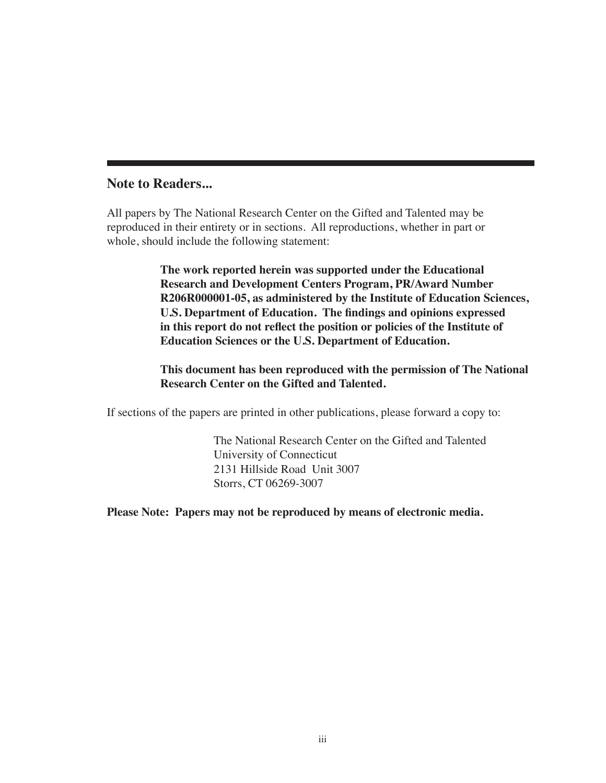## **Note to Readers...**

All papers by The National Research Center on the Gifted and Talented may be reproduced in their entirety or in sections. All reproductions, whether in part or whole, should include the following statement:

> **The work reported herein was supported under the Educational Research and Development Centers Program, PR/Award Number R206R000001-05, as administered by the Institute of Education Sciences, U.S. Department of Education. The findings and opinions expressed in this report do not reflect the position or policies of the Institute of Education Sciences or the U.S. Department of Education.**

> **This document has been reproduced with the permission of The National Research Center on the Gifted and Talented.**

If sections of the papers are printed in other publications, please forward a copy to:

The National Research Center on the Gifted and Talented University of Connecticut 2131 Hillside Road Unit 3007 Storrs, CT 06269-3007

**Please Note: Papers may not be reproduced by means of electronic media.**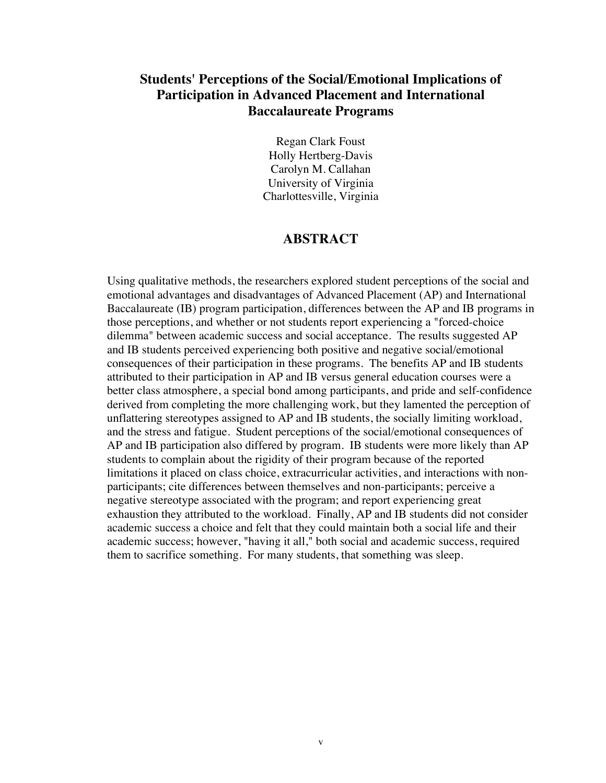# **Students' Perceptions of the Social/Emotional Implications of Participation in Advanced Placement and International Baccalaureate Programs**

Regan Clark Foust Holly Hertberg-Davis Carolyn M. Callahan University of Virginia Charlottesville, Virginia

## **ABSTRACT**

Using qualitative methods, the researchers explored student perceptions of the social and emotional advantages and disadvantages of Advanced Placement (AP) and International Baccalaureate (IB) program participation, differences between the AP and IB programs in those perceptions, and whether or not students report experiencing a "forced-choice dilemma" between academic success and social acceptance. The results suggested AP and IB students perceived experiencing both positive and negative social/emotional consequences of their participation in these programs. The benefits AP and IB students attributed to their participation in AP and IB versus general education courses were a better class atmosphere, a special bond among participants, and pride and self-confidence derived from completing the more challenging work, but they lamented the perception of unflattering stereotypes assigned to AP and IB students, the socially limiting workload, and the stress and fatigue. Student perceptions of the social/emotional consequences of AP and IB participation also differed by program. IB students were more likely than AP students to complain about the rigidity of their program because of the reported limitations it placed on class choice, extracurricular activities, and interactions with nonparticipants; cite differences between themselves and non-participants; perceive a negative stereotype associated with the program; and report experiencing great exhaustion they attributed to the workload. Finally, AP and IB students did not consider academic success a choice and felt that they could maintain both a social life and their academic success; however, "having it all," both social and academic success, required them to sacrifice something. For many students, that something was sleep.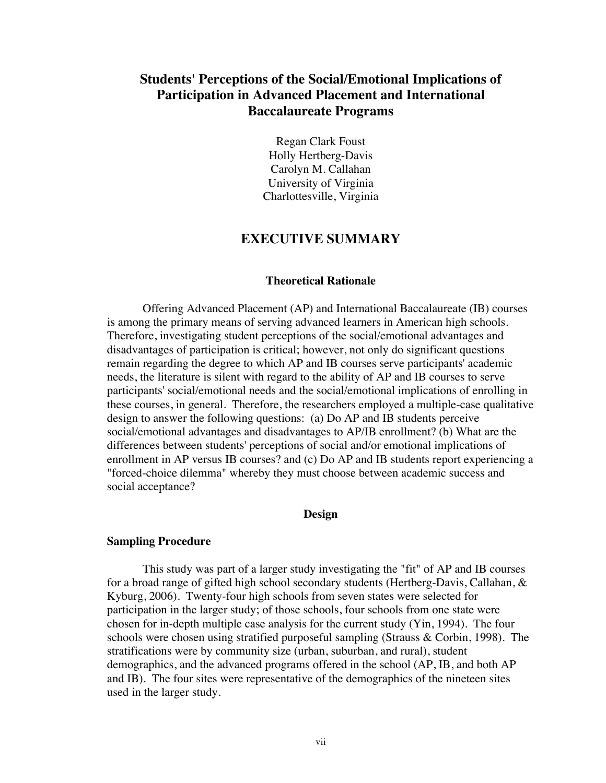# **Students' Perceptions of the Social/Emotional Implications of Participation in Advanced Placement and International Baccalaureate Programs**

Regan Clark Foust Holly Hertberg-Davis Carolyn M. Callahan University of Virginia Charlottesville, Virginia

## **EXECUTIVE SUMMARY**

#### **Theoretical Rationale**

Offering Advanced Placement (AP) and International Baccalaureate (IB) courses is among the primary means of serving advanced learners in American high schools. Therefore, investigating student perceptions of the social/emotional advantages and disadvantages of participation is critical; however, not only do significant questions remain regarding the degree to which AP and IB courses serve participants' academic needs, the literature is silent with regard to the ability of AP and IB courses to serve participants' social/emotional needs and the social/emotional implications of enrolling in these courses, in general. Therefore, the researchers employed a multiple-case qualitative design to answer the following questions: (a) Do AP and IB students perceive social/emotional advantages and disadvantages to AP/IB enrollment? (b) What are the differences between students' perceptions of social and/or emotional implications of enrollment in AP versus IB courses? and (c) Do AP and IB students report experiencing a "forced-choice dilemma" whereby they must choose between academic success and social acceptance?

#### **Design**

#### **Sampling Procedure**

This study was part of a larger study investigating the "fit" of AP and IB courses for a broad range of gifted high school secondary students (Hertberg-Davis, Callahan, & Kyburg, 2006). Twenty-four high schools from seven states were selected for participation in the larger study; of those schools, four schools from one state were chosen for in-depth multiple case analysis for the current study (Yin, 1994). The four schools were chosen using stratified purposeful sampling (Strauss & Corbin, 1998). The stratifications were by community size (urban, suburban, and rural), student demographics, and the advanced programs offered in the school (AP, IB, and both AP and IB). The four sites were representative of the demographics of the nineteen sites used in the larger study.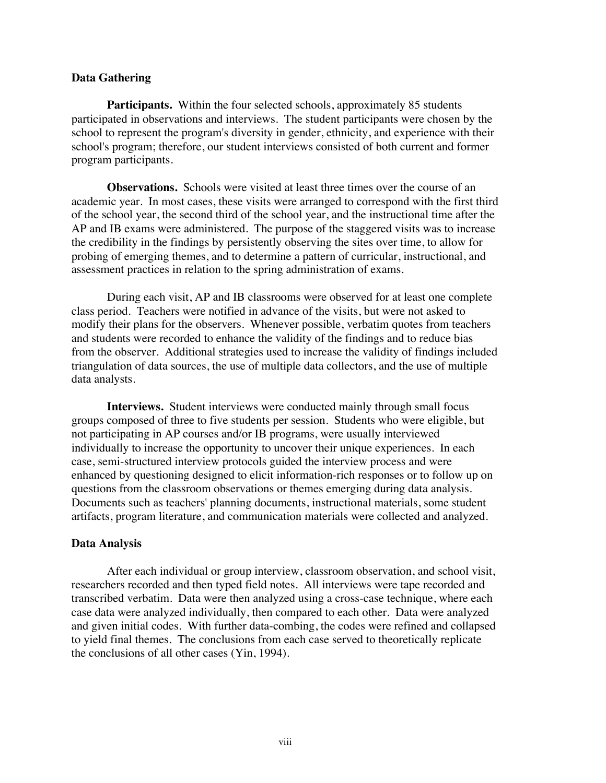#### **Data Gathering**

Participants. Within the four selected schools, approximately 85 students participated in observations and interviews. The student participants were chosen by the school to represent the program's diversity in gender, ethnicity, and experience with their school's program; therefore, our student interviews consisted of both current and former program participants.

**Observations.** Schools were visited at least three times over the course of an academic year. In most cases, these visits were arranged to correspond with the first third of the school year, the second third of the school year, and the instructional time after the AP and IB exams were administered. The purpose of the staggered visits was to increase the credibility in the findings by persistently observing the sites over time, to allow for probing of emerging themes, and to determine a pattern of curricular, instructional, and assessment practices in relation to the spring administration of exams.

During each visit, AP and IB classrooms were observed for at least one complete class period. Teachers were notified in advance of the visits, but were not asked to modify their plans for the observers. Whenever possible, verbatim quotes from teachers and students were recorded to enhance the validity of the findings and to reduce bias from the observer. Additional strategies used to increase the validity of findings included triangulation of data sources, the use of multiple data collectors, and the use of multiple data analysts.

**Interviews.** Student interviews were conducted mainly through small focus groups composed of three to five students per session. Students who were eligible, but not participating in AP courses and/or IB programs, were usually interviewed individually to increase the opportunity to uncover their unique experiences. In each case, semi-structured interview protocols guided the interview process and were enhanced by questioning designed to elicit information-rich responses or to follow up on questions from the classroom observations or themes emerging during data analysis. Documents such as teachers' planning documents, instructional materials, some student artifacts, program literature, and communication materials were collected and analyzed.

### **Data Analysis**

After each individual or group interview, classroom observation, and school visit, researchers recorded and then typed field notes. All interviews were tape recorded and transcribed verbatim. Data were then analyzed using a cross-case technique, where each case data were analyzed individually, then compared to each other. Data were analyzed and given initial codes. With further data-combing, the codes were refined and collapsed to yield final themes. The conclusions from each case served to theoretically replicate the conclusions of all other cases (Yin, 1994).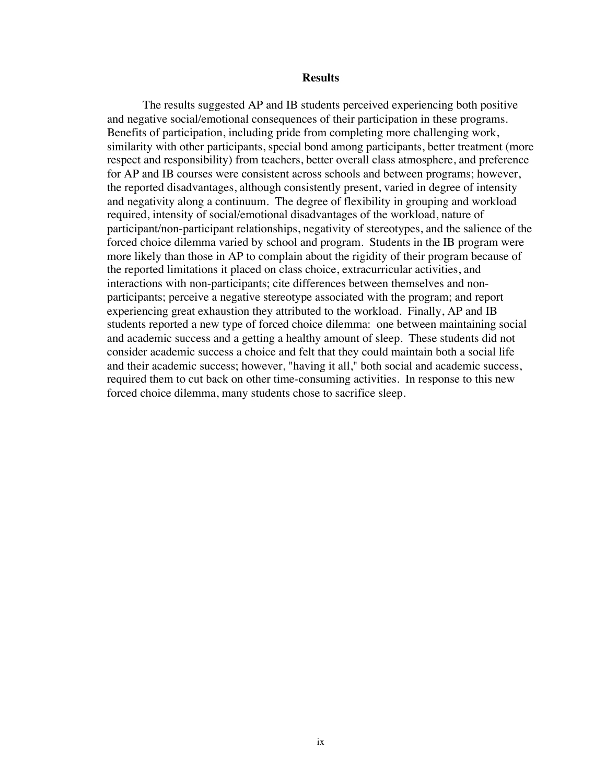#### **Results**

The results suggested AP and IB students perceived experiencing both positive and negative social/emotional consequences of their participation in these programs. Benefits of participation, including pride from completing more challenging work, similarity with other participants, special bond among participants, better treatment (more respect and responsibility) from teachers, better overall class atmosphere, and preference for AP and IB courses were consistent across schools and between programs; however, the reported disadvantages, although consistently present, varied in degree of intensity and negativity along a continuum. The degree of flexibility in grouping and workload required, intensity of social/emotional disadvantages of the workload, nature of participant/non-participant relationships, negativity of stereotypes, and the salience of the forced choice dilemma varied by school and program. Students in the IB program were more likely than those in AP to complain about the rigidity of their program because of the reported limitations it placed on class choice, extracurricular activities, and interactions with non-participants; cite differences between themselves and nonparticipants; perceive a negative stereotype associated with the program; and report experiencing great exhaustion they attributed to the workload. Finally, AP and IB students reported a new type of forced choice dilemma: one between maintaining social and academic success and a getting a healthy amount of sleep. These students did not consider academic success a choice and felt that they could maintain both a social life and their academic success; however, "having it all," both social and academic success, required them to cut back on other time-consuming activities. In response to this new forced choice dilemma, many students chose to sacrifice sleep.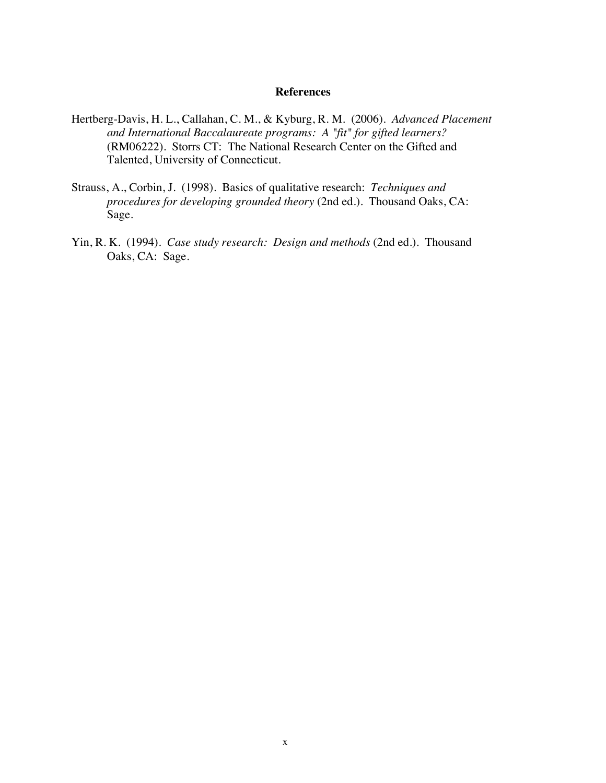#### **References**

- Hertberg-Davis, H. L., Callahan, C. M., & Kyburg, R. M. (2006). *Advanced Placement and International Baccalaureate programs: A "fit" for gifted learners?* (RM06222). Storrs CT: The National Research Center on the Gifted and Talented, University of Connecticut.
- Strauss, A., Corbin, J. (1998). Basics of qualitative research: *Techniques and procedures for developing grounded theory* (2nd ed.). Thousand Oaks, CA: Sage.
- Yin, R. K. (1994). *Case study research: Design and methods* (2nd ed.). Thousand Oaks, CA: Sage.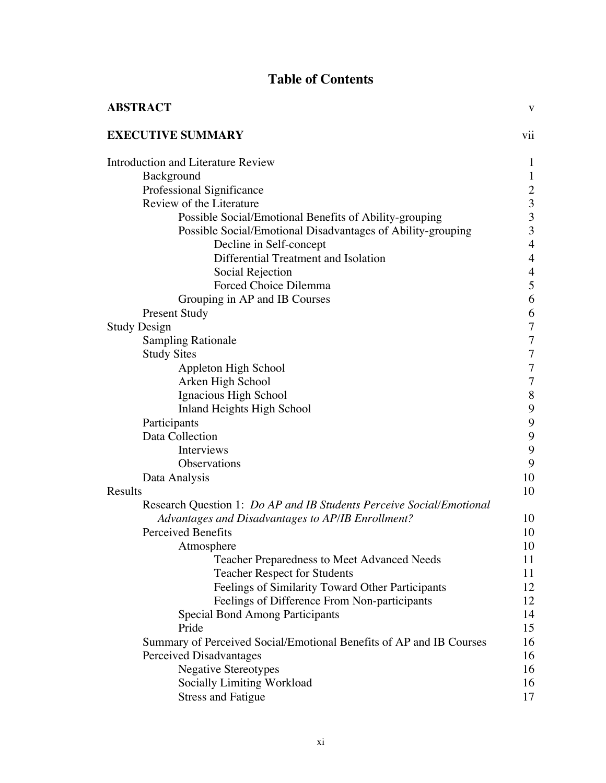# **Table of Contents**

| <b>ABSTRACT</b>                                                      | V                                          |
|----------------------------------------------------------------------|--------------------------------------------|
| <b>EXECUTIVE SUMMARY</b>                                             | vii                                        |
| <b>Introduction and Literature Review</b>                            | $\mathbf{1}$                               |
| Background                                                           | $\mathbf{1}$                               |
| Professional Significance                                            |                                            |
| Review of the Literature                                             | $\begin{array}{c} 2 \\ 3 \\ 3 \end{array}$ |
| Possible Social/Emotional Benefits of Ability-grouping               |                                            |
| Possible Social/Emotional Disadvantages of Ability-grouping          | 3                                          |
| Decline in Self-concept                                              | $\overline{4}$                             |
| Differential Treatment and Isolation                                 | $\overline{4}$                             |
| Social Rejection                                                     | $\overline{\mathcal{L}}$                   |
| Forced Choice Dilemma                                                | 5                                          |
| Grouping in AP and IB Courses                                        | 6                                          |
| <b>Present Study</b>                                                 | 6                                          |
| <b>Study Design</b>                                                  | $\overline{7}$                             |
| <b>Sampling Rationale</b>                                            | $\overline{7}$                             |
| <b>Study Sites</b>                                                   | $\overline{7}$                             |
| Appleton High School                                                 | $\overline{7}$                             |
| Arken High School                                                    | 7                                          |
| Ignacious High School                                                | 8                                          |
| <b>Inland Heights High School</b>                                    | 9                                          |
| Participants                                                         | 9                                          |
| Data Collection                                                      | 9                                          |
| Interviews                                                           | 9                                          |
| Observations                                                         | 9                                          |
| Data Analysis                                                        | 10                                         |
| Results                                                              | 10                                         |
| Research Question 1: Do AP and IB Students Perceive Social/Emotional |                                            |
| Advantages and Disadvantages to AP/IB Enrollment?                    | 10                                         |
| <b>Perceived Benefits</b>                                            | 10                                         |
| Atmosphere                                                           | 10                                         |
| <b>Teacher Preparedness to Meet Advanced Needs</b>                   | 11                                         |
| <b>Teacher Respect for Students</b>                                  | 11                                         |
| Feelings of Similarity Toward Other Participants                     | 12                                         |
| Feelings of Difference From Non-participants                         | 12                                         |
| <b>Special Bond Among Participants</b>                               | 14                                         |
| Pride                                                                | 15                                         |
| Summary of Perceived Social/Emotional Benefits of AP and IB Courses  | 16                                         |
| Perceived Disadvantages                                              | 16                                         |
| <b>Negative Stereotypes</b>                                          | 16                                         |
| Socially Limiting Workload                                           | 16                                         |
| <b>Stress and Fatigue</b>                                            | 17                                         |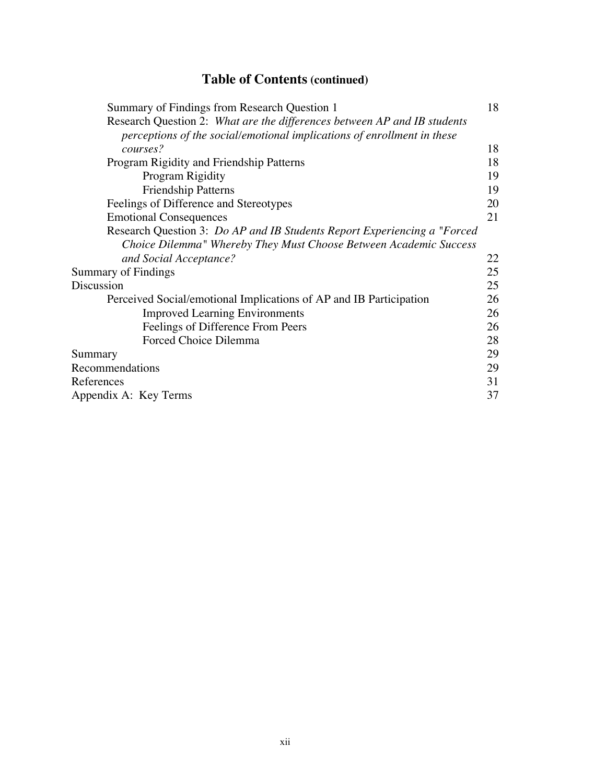# **Table of Contents (continued)**

| Summary of Findings from Research Question 1                              | 18 |
|---------------------------------------------------------------------------|----|
| Research Question 2: What are the differences between AP and IB students  |    |
| perceptions of the social/emotional implications of enrollment in these   |    |
| courses?                                                                  | 18 |
| Program Rigidity and Friendship Patterns                                  | 18 |
| Program Rigidity                                                          | 19 |
| <b>Friendship Patterns</b>                                                | 19 |
| Feelings of Difference and Stereotypes                                    | 20 |
| <b>Emotional Consequences</b>                                             | 21 |
| Research Question 3: Do AP and IB Students Report Experiencing a "Forced" |    |
| Choice Dilemma" Whereby They Must Choose Between Academic Success         |    |
| and Social Acceptance?                                                    | 22 |
| Summary of Findings                                                       | 25 |
| Discussion                                                                | 25 |
| Perceived Social/emotional Implications of AP and IB Participation        | 26 |
| <b>Improved Learning Environments</b>                                     | 26 |
| Feelings of Difference From Peers                                         | 26 |
| Forced Choice Dilemma                                                     | 28 |
| Summary                                                                   | 29 |
| Recommendations                                                           | 29 |
| References                                                                | 31 |
| Appendix A: Key Terms                                                     | 37 |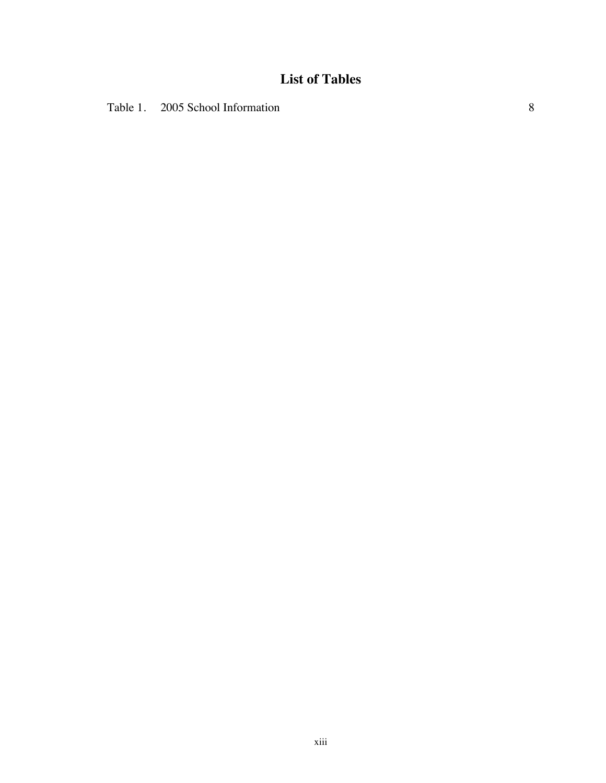# **List of Tables**

Table 1. 2005 School Information 8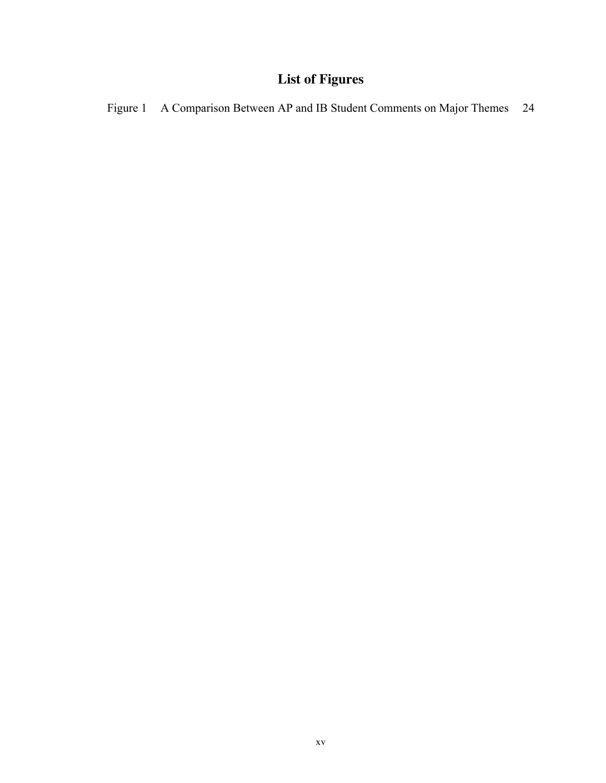# **List of Figures**

Figure 1 A Comparison Between AP and IB Student Comments on Major Themes 24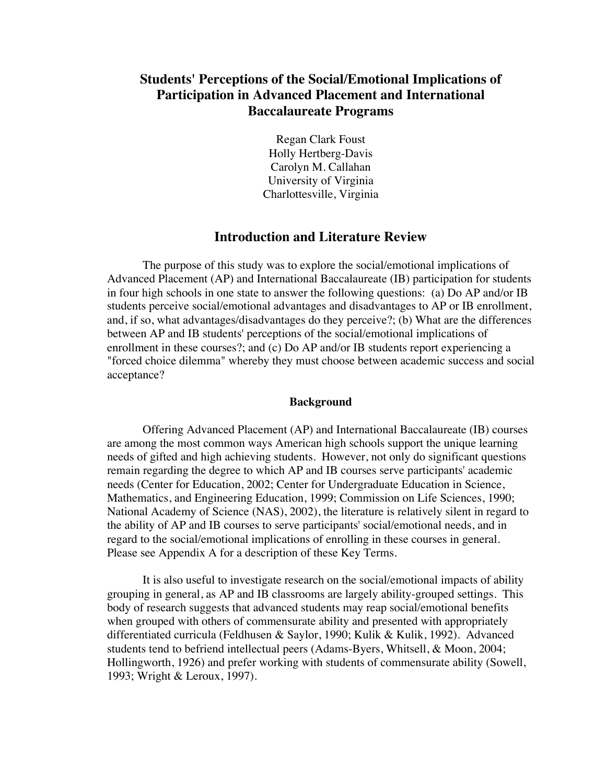# **Students' Perceptions of the Social/Emotional Implications of Participation in Advanced Placement and International Baccalaureate Programs**

Regan Clark Foust Holly Hertberg-Davis Carolyn M. Callahan University of Virginia Charlottesville, Virginia

## **Introduction and Literature Review**

The purpose of this study was to explore the social/emotional implications of Advanced Placement (AP) and International Baccalaureate (IB) participation for students in four high schools in one state to answer the following questions: (a) Do AP and/or IB students perceive social/emotional advantages and disadvantages to AP or IB enrollment, and, if so, what advantages/disadvantages do they perceive?; (b) What are the differences between AP and IB students' perceptions of the social/emotional implications of enrollment in these courses?; and (c) Do AP and/or IB students report experiencing a "forced choice dilemma" whereby they must choose between academic success and social acceptance?

#### **Background**

Offering Advanced Placement (AP) and International Baccalaureate (IB) courses are among the most common ways American high schools support the unique learning needs of gifted and high achieving students. However, not only do significant questions remain regarding the degree to which AP and IB courses serve participants' academic needs (Center for Education, 2002; Center for Undergraduate Education in Science, Mathematics, and Engineering Education, 1999; Commission on Life Sciences, 1990; National Academy of Science (NAS), 2002), the literature is relatively silent in regard to the ability of AP and IB courses to serve participants' social/emotional needs, and in regard to the social/emotional implications of enrolling in these courses in general. Please see Appendix A for a description of these Key Terms.

It is also useful to investigate research on the social/emotional impacts of ability grouping in general, as AP and IB classrooms are largely ability-grouped settings. This body of research suggests that advanced students may reap social/emotional benefits when grouped with others of commensurate ability and presented with appropriately differentiated curricula (Feldhusen & Saylor, 1990; Kulik & Kulik, 1992). Advanced students tend to befriend intellectual peers (Adams-Byers, Whitsell, & Moon, 2004; Hollingworth, 1926) and prefer working with students of commensurate ability (Sowell, 1993; Wright & Leroux, 1997).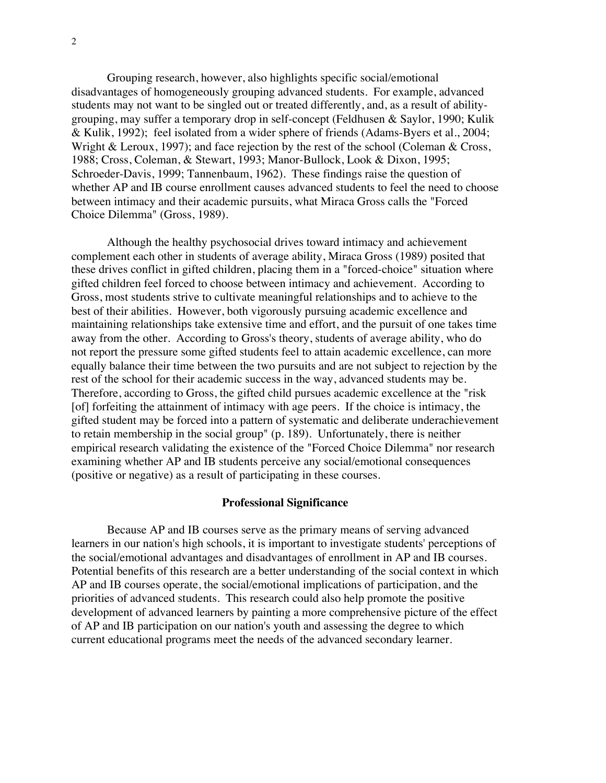Grouping research, however, also highlights specific social/emotional disadvantages of homogeneously grouping advanced students. For example, advanced students may not want to be singled out or treated differently, and, as a result of abilitygrouping, may suffer a temporary drop in self-concept (Feldhusen & Saylor, 1990; Kulik & Kulik, 1992); feel isolated from a wider sphere of friends (Adams-Byers et al., 2004; Wright & Leroux, 1997); and face rejection by the rest of the school (Coleman & Cross, 1988; Cross, Coleman, & Stewart, 1993; Manor-Bullock, Look & Dixon, 1995; Schroeder-Davis, 1999; Tannenbaum, 1962). These findings raise the question of whether AP and IB course enrollment causes advanced students to feel the need to choose between intimacy and their academic pursuits, what Miraca Gross calls the "Forced Choice Dilemma" (Gross, 1989).

Although the healthy psychosocial drives toward intimacy and achievement complement each other in students of average ability, Miraca Gross (1989) posited that these drives conflict in gifted children, placing them in a "forced-choice" situation where gifted children feel forced to choose between intimacy and achievement. According to Gross, most students strive to cultivate meaningful relationships and to achieve to the best of their abilities. However, both vigorously pursuing academic excellence and maintaining relationships take extensive time and effort, and the pursuit of one takes time away from the other. According to Gross's theory, students of average ability, who do not report the pressure some gifted students feel to attain academic excellence, can more equally balance their time between the two pursuits and are not subject to rejection by the rest of the school for their academic success in the way, advanced students may be. Therefore, according to Gross, the gifted child pursues academic excellence at the "risk [of] forfeiting the attainment of intimacy with age peers. If the choice is intimacy, the gifted student may be forced into a pattern of systematic and deliberate underachievement to retain membership in the social group" (p. 189). Unfortunately, there is neither empirical research validating the existence of the "Forced Choice Dilemma" nor research examining whether AP and IB students perceive any social/emotional consequences (positive or negative) as a result of participating in these courses.

#### **Professional Significance**

Because AP and IB courses serve as the primary means of serving advanced learners in our nation's high schools, it is important to investigate students' perceptions of the social/emotional advantages and disadvantages of enrollment in AP and IB courses. Potential benefits of this research are a better understanding of the social context in which AP and IB courses operate, the social/emotional implications of participation, and the priorities of advanced students. This research could also help promote the positive development of advanced learners by painting a more comprehensive picture of the effect of AP and IB participation on our nation's youth and assessing the degree to which current educational programs meet the needs of the advanced secondary learner.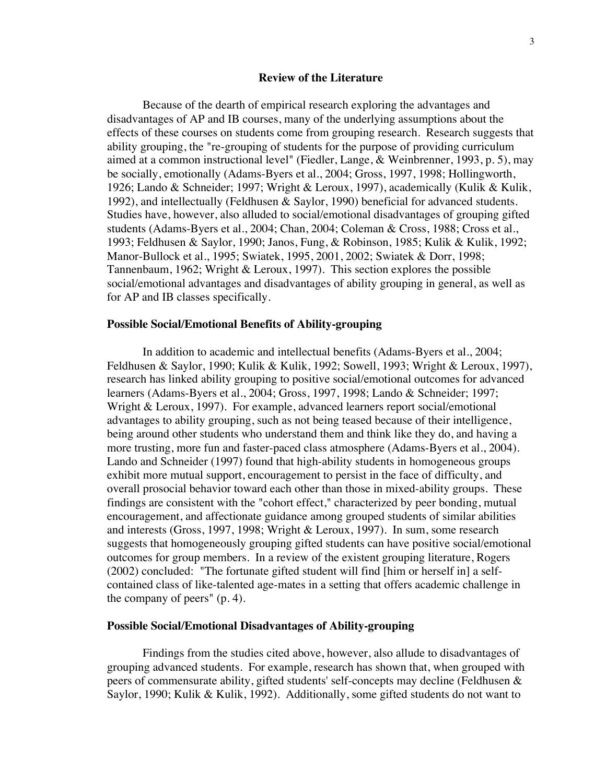#### **Review of the Literature**

Because of the dearth of empirical research exploring the advantages and disadvantages of AP and IB courses, many of the underlying assumptions about the effects of these courses on students come from grouping research. Research suggests that ability grouping, the "re-grouping of students for the purpose of providing curriculum aimed at a common instructional level" (Fiedler, Lange, & Weinbrenner, 1993, p. 5), may be socially, emotionally (Adams-Byers et al., 2004; Gross, 1997, 1998; Hollingworth, 1926; Lando & Schneider; 1997; Wright & Leroux, 1997), academically (Kulik & Kulik, 1992), and intellectually (Feldhusen & Saylor, 1990) beneficial for advanced students. Studies have, however, also alluded to social/emotional disadvantages of grouping gifted students (Adams-Byers et al., 2004; Chan, 2004; Coleman & Cross, 1988; Cross et al., 1993; Feldhusen & Saylor, 1990; Janos, Fung, & Robinson, 1985; Kulik & Kulik, 1992; Manor-Bullock et al., 1995; Swiatek, 1995, 2001, 2002; Swiatek & Dorr, 1998; Tannenbaum, 1962; Wright & Leroux, 1997). This section explores the possible social/emotional advantages and disadvantages of ability grouping in general, as well as for AP and IB classes specifically.

#### **Possible Social/Emotional Benefits of Ability-grouping**

In addition to academic and intellectual benefits (Adams-Byers et al., 2004; Feldhusen & Saylor, 1990; Kulik & Kulik, 1992; Sowell, 1993; Wright & Leroux, 1997), research has linked ability grouping to positive social/emotional outcomes for advanced learners (Adams-Byers et al., 2004; Gross, 1997, 1998; Lando & Schneider; 1997; Wright & Leroux, 1997). For example, advanced learners report social/emotional advantages to ability grouping, such as not being teased because of their intelligence, being around other students who understand them and think like they do, and having a more trusting, more fun and faster-paced class atmosphere (Adams-Byers et al., 2004). Lando and Schneider (1997) found that high-ability students in homogeneous groups exhibit more mutual support, encouragement to persist in the face of difficulty, and overall prosocial behavior toward each other than those in mixed-ability groups. These findings are consistent with the "cohort effect," characterized by peer bonding, mutual encouragement, and affectionate guidance among grouped students of similar abilities and interests (Gross, 1997, 1998; Wright & Leroux, 1997). In sum, some research suggests that homogeneously grouping gifted students can have positive social/emotional outcomes for group members. In a review of the existent grouping literature, Rogers (2002) concluded: "The fortunate gifted student will find [him or herself in] a selfcontained class of like-talented age-mates in a setting that offers academic challenge in the company of peers" (p. 4).

#### **Possible Social/Emotional Disadvantages of Ability-grouping**

Findings from the studies cited above, however, also allude to disadvantages of grouping advanced students. For example, research has shown that, when grouped with peers of commensurate ability, gifted students' self-concepts may decline (Feldhusen & Saylor, 1990; Kulik & Kulik, 1992). Additionally, some gifted students do not want to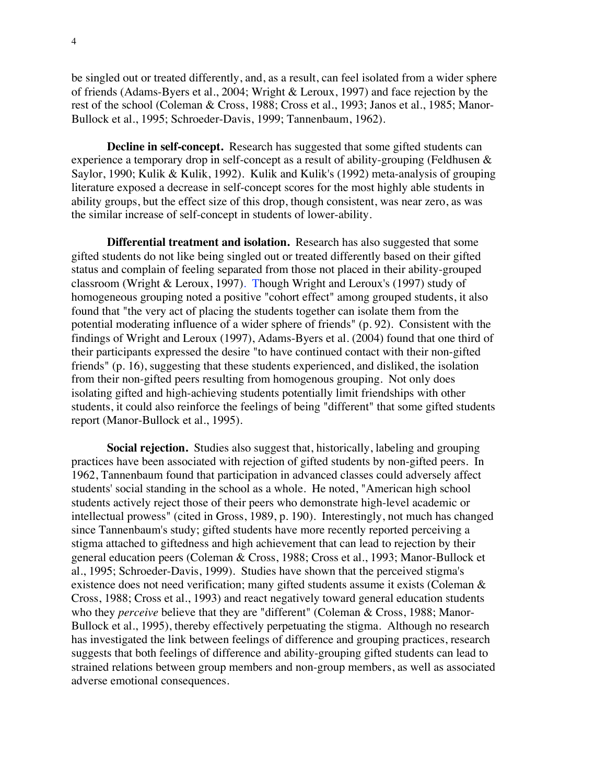be singled out or treated differently, and, as a result, can feel isolated from a wider sphere of friends (Adams-Byers et al., 2004; Wright & Leroux, 1997) and face rejection by the rest of the school (Coleman & Cross, 1988; Cross et al., 1993; Janos et al., 1985; Manor-Bullock et al., 1995; Schroeder-Davis, 1999; Tannenbaum, 1962).

**Decline in self-concept.** Research has suggested that some gifted students can experience a temporary drop in self-concept as a result of ability-grouping (Feldhusen & Saylor, 1990; Kulik & Kulik, 1992). Kulik and Kulik's (1992) meta-analysis of grouping literature exposed a decrease in self-concept scores for the most highly able students in ability groups, but the effect size of this drop, though consistent, was near zero, as was the similar increase of self-concept in students of lower-ability.

**Differential treatment and isolation.** Research has also suggested that some gifted students do not like being singled out or treated differently based on their gifted status and complain of feeling separated from those not placed in their ability-grouped classroom (Wright & Leroux, 1997). Though Wright and Leroux's (1997) study of homogeneous grouping noted a positive "cohort effect" among grouped students, it also found that "the very act of placing the students together can isolate them from the potential moderating influence of a wider sphere of friends" (p. 92). Consistent with the findings of Wright and Leroux (1997), Adams-Byers et al. (2004) found that one third of their participants expressed the desire "to have continued contact with their non-gifted friends" (p. 16), suggesting that these students experienced, and disliked, the isolation from their non-gifted peers resulting from homogenous grouping. Not only does isolating gifted and high-achieving students potentially limit friendships with other students, it could also reinforce the feelings of being "different" that some gifted students report (Manor-Bullock et al., 1995).

**Social rejection.** Studies also suggest that, historically, labeling and grouping practices have been associated with rejection of gifted students by non-gifted peers. In 1962, Tannenbaum found that participation in advanced classes could adversely affect students' social standing in the school as a whole. He noted, "American high school students actively reject those of their peers who demonstrate high-level academic or intellectual prowess" (cited in Gross, 1989, p. 190). Interestingly, not much has changed since Tannenbaum's study; gifted students have more recently reported perceiving a stigma attached to giftedness and high achievement that can lead to rejection by their general education peers (Coleman & Cross, 1988; Cross et al., 1993; Manor-Bullock et al., 1995; Schroeder-Davis, 1999). Studies have shown that the perceived stigma's existence does not need verification; many gifted students assume it exists (Coleman & Cross, 1988; Cross et al., 1993) and react negatively toward general education students who they *perceive* believe that they are "different" (Coleman & Cross, 1988; Manor-Bullock et al., 1995), thereby effectively perpetuating the stigma. Although no research has investigated the link between feelings of difference and grouping practices, research suggests that both feelings of difference and ability-grouping gifted students can lead to strained relations between group members and non-group members, as well as associated adverse emotional consequences.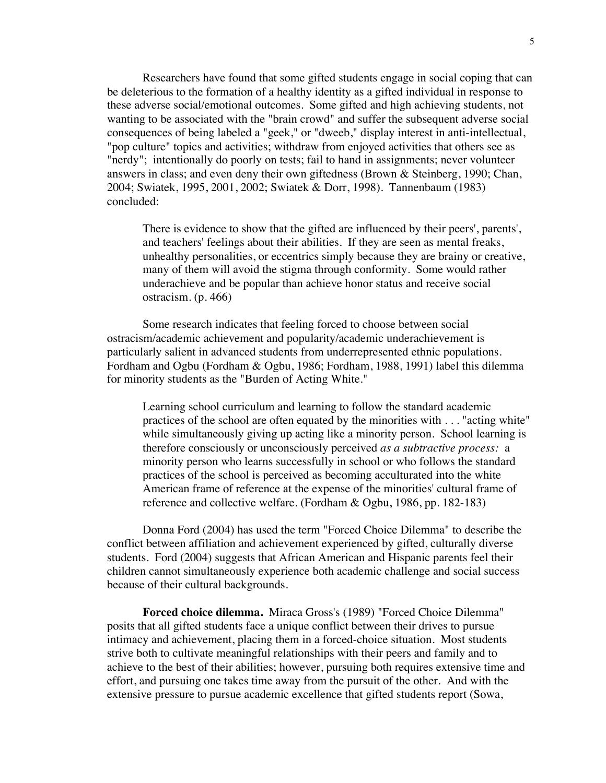Researchers have found that some gifted students engage in social coping that can be deleterious to the formation of a healthy identity as a gifted individual in response to these adverse social/emotional outcomes. Some gifted and high achieving students, not wanting to be associated with the "brain crowd" and suffer the subsequent adverse social consequences of being labeled a "geek," or "dweeb," display interest in anti-intellectual, "pop culture" topics and activities; withdraw from enjoyed activities that others see as "nerdy"; intentionally do poorly on tests; fail to hand in assignments; never volunteer answers in class; and even deny their own giftedness (Brown & Steinberg, 1990; Chan, 2004; Swiatek, 1995, 2001, 2002; Swiatek & Dorr, 1998). Tannenbaum (1983) concluded:

There is evidence to show that the gifted are influenced by their peers', parents', and teachers' feelings about their abilities. If they are seen as mental freaks, unhealthy personalities, or eccentrics simply because they are brainy or creative, many of them will avoid the stigma through conformity. Some would rather underachieve and be popular than achieve honor status and receive social ostracism. (p. 466)

Some research indicates that feeling forced to choose between social ostracism/academic achievement and popularity/academic underachievement is particularly salient in advanced students from underrepresented ethnic populations. Fordham and Ogbu (Fordham & Ogbu, 1986; Fordham, 1988, 1991) label this dilemma for minority students as the "Burden of Acting White."

Learning school curriculum and learning to follow the standard academic practices of the school are often equated by the minorities with . . . "acting white" while simultaneously giving up acting like a minority person. School learning is therefore consciously or unconsciously perceived *as a subtractive process:* a minority person who learns successfully in school or who follows the standard practices of the school is perceived as becoming acculturated into the white American frame of reference at the expense of the minorities' cultural frame of reference and collective welfare. (Fordham & Ogbu, 1986, pp. 182-183)

Donna Ford (2004) has used the term "Forced Choice Dilemma" to describe the conflict between affiliation and achievement experienced by gifted, culturally diverse students. Ford (2004) suggests that African American and Hispanic parents feel their children cannot simultaneously experience both academic challenge and social success because of their cultural backgrounds.

**Forced choice dilemma.** Miraca Gross's (1989) "Forced Choice Dilemma" posits that all gifted students face a unique conflict between their drives to pursue intimacy and achievement, placing them in a forced-choice situation. Most students strive both to cultivate meaningful relationships with their peers and family and to achieve to the best of their abilities; however, pursuing both requires extensive time and effort, and pursuing one takes time away from the pursuit of the other. And with the extensive pressure to pursue academic excellence that gifted students report (Sowa,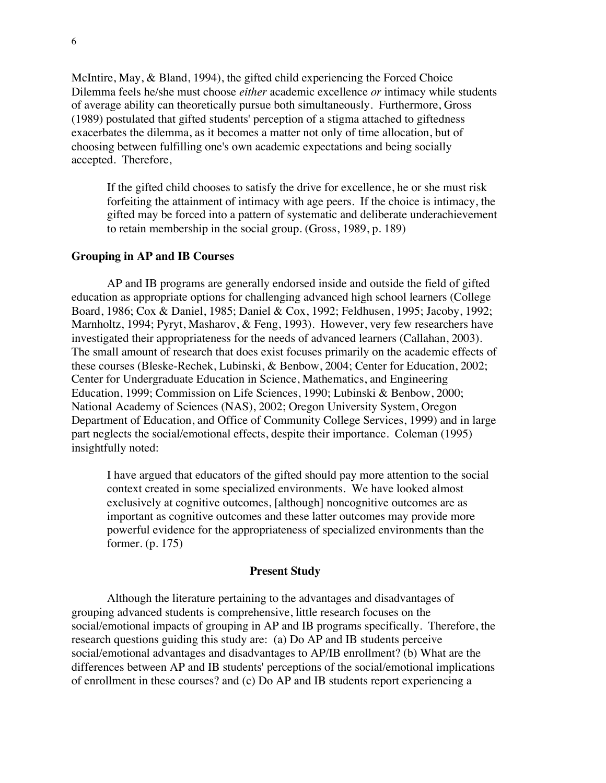McIntire, May, & Bland, 1994), the gifted child experiencing the Forced Choice Dilemma feels he/she must choose *either* academic excellence *or* intimacy while students of average ability can theoretically pursue both simultaneously. Furthermore, Gross (1989) postulated that gifted students' perception of a stigma attached to giftedness exacerbates the dilemma, as it becomes a matter not only of time allocation, but of choosing between fulfilling one's own academic expectations and being socially accepted. Therefore,

If the gifted child chooses to satisfy the drive for excellence, he or she must risk forfeiting the attainment of intimacy with age peers. If the choice is intimacy, the gifted may be forced into a pattern of systematic and deliberate underachievement to retain membership in the social group. (Gross, 1989, p. 189)

#### **Grouping in AP and IB Courses**

AP and IB programs are generally endorsed inside and outside the field of gifted education as appropriate options for challenging advanced high school learners (College Board, 1986; Cox & Daniel, 1985; Daniel & Cox, 1992; Feldhusen, 1995; Jacoby, 1992; Marnholtz, 1994; Pyryt, Masharov, & Feng, 1993). However, very few researchers have investigated their appropriateness for the needs of advanced learners (Callahan, 2003). The small amount of research that does exist focuses primarily on the academic effects of these courses (Bleske-Rechek, Lubinski, & Benbow, 2004; Center for Education, 2002; Center for Undergraduate Education in Science, Mathematics, and Engineering Education, 1999; Commission on Life Sciences, 1990; Lubinski & Benbow, 2000; National Academy of Sciences (NAS), 2002; Oregon University System, Oregon Department of Education, and Office of Community College Services, 1999) and in large part neglects the social/emotional effects, despite their importance. Coleman (1995) insightfully noted:

I have argued that educators of the gifted should pay more attention to the social context created in some specialized environments. We have looked almost exclusively at cognitive outcomes, [although] noncognitive outcomes are as important as cognitive outcomes and these latter outcomes may provide more powerful evidence for the appropriateness of specialized environments than the former. (p. 175)

#### **Present Study**

Although the literature pertaining to the advantages and disadvantages of grouping advanced students is comprehensive, little research focuses on the social/emotional impacts of grouping in AP and IB programs specifically. Therefore, the research questions guiding this study are: (a) Do AP and IB students perceive social/emotional advantages and disadvantages to AP/IB enrollment? (b) What are the differences between AP and IB students' perceptions of the social/emotional implications of enrollment in these courses? and (c) Do AP and IB students report experiencing a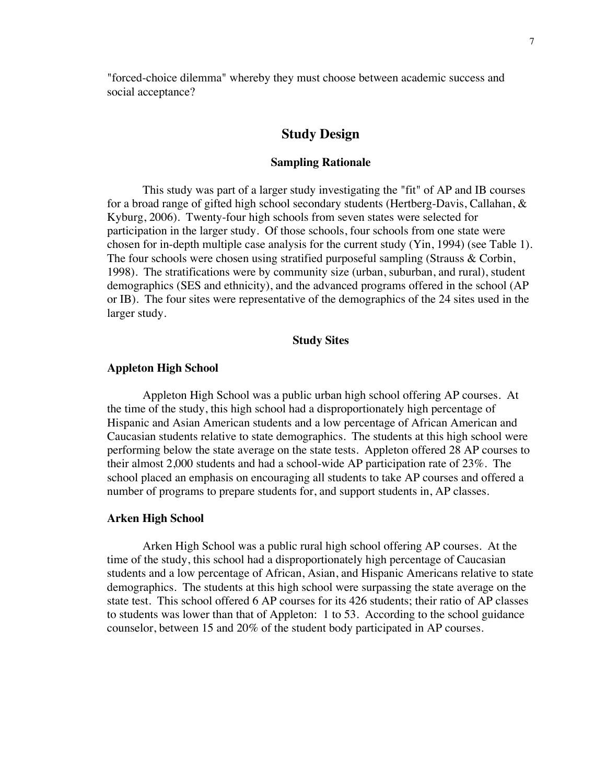"forced-choice dilemma" whereby they must choose between academic success and social acceptance?

## **Study Design**

#### **Sampling Rationale**

This study was part of a larger study investigating the "fit" of AP and IB courses for a broad range of gifted high school secondary students (Hertberg-Davis, Callahan, & Kyburg, 2006). Twenty-four high schools from seven states were selected for participation in the larger study. Of those schools, four schools from one state were chosen for in-depth multiple case analysis for the current study (Yin, 1994) (see Table 1). The four schools were chosen using stratified purposeful sampling (Strauss & Corbin, 1998). The stratifications were by community size (urban, suburban, and rural), student demographics (SES and ethnicity), and the advanced programs offered in the school (AP or IB). The four sites were representative of the demographics of the 24 sites used in the larger study.

#### **Study Sites**

#### **Appleton High School**

Appleton High School was a public urban high school offering AP courses. At the time of the study, this high school had a disproportionately high percentage of Hispanic and Asian American students and a low percentage of African American and Caucasian students relative to state demographics. The students at this high school were performing below the state average on the state tests. Appleton offered 28 AP courses to their almost 2,000 students and had a school-wide AP participation rate of 23%. The school placed an emphasis on encouraging all students to take AP courses and offered a number of programs to prepare students for, and support students in, AP classes.

#### **Arken High School**

Arken High School was a public rural high school offering AP courses. At the time of the study, this school had a disproportionately high percentage of Caucasian students and a low percentage of African, Asian, and Hispanic Americans relative to state demographics. The students at this high school were surpassing the state average on the state test. This school offered 6 AP courses for its 426 students; their ratio of AP classes to students was lower than that of Appleton: 1 to 53. According to the school guidance counselor, between 15 and 20% of the student body participated in AP courses.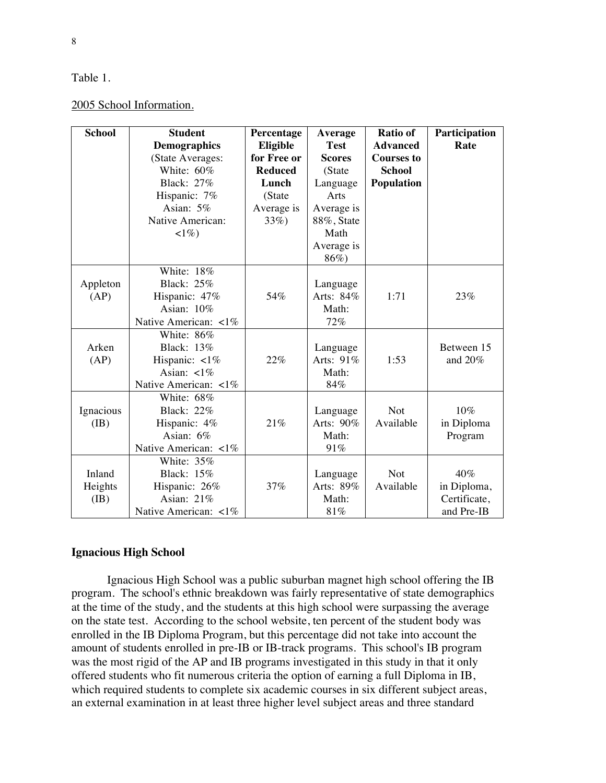### Table 1.

| <b>School</b> | <b>Student</b>          | Percentage     | Average       | <b>Ratio of</b>   | Participation |
|---------------|-------------------------|----------------|---------------|-------------------|---------------|
|               | <b>Demographics</b>     | Eligible       | <b>Test</b>   | <b>Advanced</b>   | Rate          |
|               | (State Averages:        | for Free or    | <b>Scores</b> | <b>Courses to</b> |               |
|               | White: 60%              | <b>Reduced</b> | (State        | <b>School</b>     |               |
|               | <b>Black: 27%</b>       | Lunch          | Language      | Population        |               |
|               | Hispanic: 7%            | (State         | Arts          |                   |               |
|               | Asian: 5%               | Average is     | Average is    |                   |               |
|               | Native American:        | $33\%)$        | 88%, State    |                   |               |
|               | $1\%)$                  |                | Math          |                   |               |
|               |                         |                | Average is    |                   |               |
|               |                         |                | 86%)          |                   |               |
|               | White: 18%              |                |               |                   |               |
| Appleton      | <b>Black: 25%</b>       |                | Language      |                   |               |
| (AP)          | Hispanic: 47%           | 54%            | Arts: 84%     | 1:71              | 23%           |
|               | Asian: 10%              |                | Math:         |                   |               |
|               | Native American: <1%    |                | 72%           |                   |               |
|               | White: 86%              |                |               |                   |               |
| Arken         | <b>Black: 13%</b>       |                | Language      |                   | Between 15    |
| (AP)          | Hispanic: $\langle 1\%$ | 22%            | Arts: 91%     | 1:53              | and $20%$     |
|               | Asian: $\lt 1\%$        |                | Math:         |                   |               |
|               | Native American: <1%    |                | 84%           |                   |               |
|               | White: 68%              |                |               |                   |               |
| Ignacious     | <b>Black: 22%</b>       |                | Language      | <b>Not</b>        | 10%           |
| (IB)          | Hispanic: 4%            | 21%            | Arts: 90%     | Available         | in Diploma    |
|               | Asian: 6%               |                | Math:         |                   | Program       |
|               | Native American: <1%    |                | 91%           |                   |               |
|               | White: 35%              |                |               |                   |               |
| Inland        | <b>Black: 15%</b>       |                | Language      | <b>Not</b>        | 40%           |
| Heights       | Hispanic: 26%           | 37%            | Arts: 89%     | Available         | in Diploma,   |
| (IB)          | Asian: 21%              |                | Math:         |                   | Certificate,  |
|               | Native American: <1%    |                | 81%           |                   | and Pre-IB    |

## **Ignacious High School**

Ignacious High School was a public suburban magnet high school offering the IB program. The school's ethnic breakdown was fairly representative of state demographics at the time of the study, and the students at this high school were surpassing the average on the state test. According to the school website, ten percent of the student body was enrolled in the IB Diploma Program, but this percentage did not take into account the amount of students enrolled in pre-IB or IB-track programs. This school's IB program was the most rigid of the AP and IB programs investigated in this study in that it only offered students who fit numerous criteria the option of earning a full Diploma in IB, which required students to complete six academic courses in six different subject areas, an external examination in at least three higher level subject areas and three standard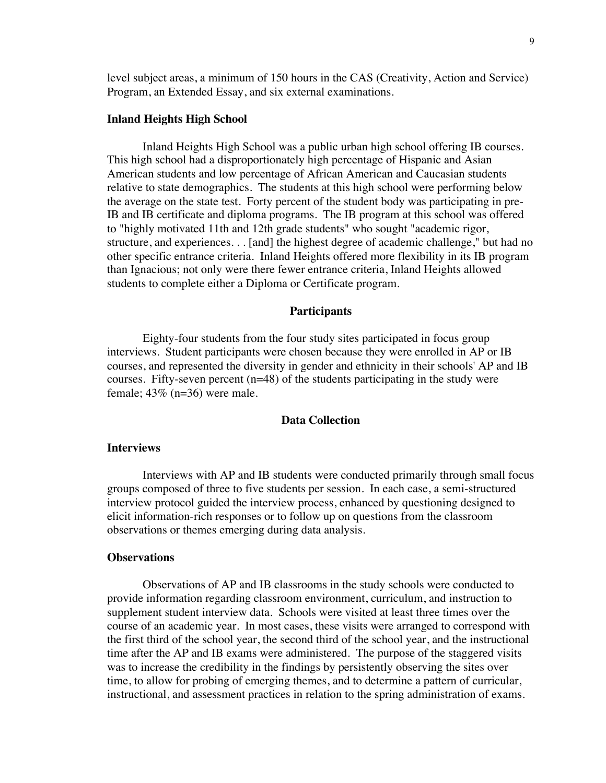level subject areas, a minimum of 150 hours in the CAS (Creativity, Action and Service) Program, an Extended Essay, and six external examinations.

#### **Inland Heights High School**

Inland Heights High School was a public urban high school offering IB courses. This high school had a disproportionately high percentage of Hispanic and Asian American students and low percentage of African American and Caucasian students relative to state demographics. The students at this high school were performing below the average on the state test. Forty percent of the student body was participating in pre-IB and IB certificate and diploma programs. The IB program at this school was offered to "highly motivated 11th and 12th grade students" who sought "academic rigor, structure, and experiences. . . [and] the highest degree of academic challenge," but had no other specific entrance criteria. Inland Heights offered more flexibility in its IB program than Ignacious; not only were there fewer entrance criteria, Inland Heights allowed students to complete either a Diploma or Certificate program.

#### **Participants**

Eighty-four students from the four study sites participated in focus group interviews. Student participants were chosen because they were enrolled in AP or IB courses, and represented the diversity in gender and ethnicity in their schools' AP and IB courses. Fifty-seven percent (n=48) of the students participating in the study were female;  $43\%$  (n=36) were male.

#### **Data Collection**

#### **Interviews**

Interviews with AP and IB students were conducted primarily through small focus groups composed of three to five students per session. In each case, a semi-structured interview protocol guided the interview process, enhanced by questioning designed to elicit information-rich responses or to follow up on questions from the classroom observations or themes emerging during data analysis.

#### **Observations**

Observations of AP and IB classrooms in the study schools were conducted to provide information regarding classroom environment, curriculum, and instruction to supplement student interview data. Schools were visited at least three times over the course of an academic year. In most cases, these visits were arranged to correspond with the first third of the school year, the second third of the school year, and the instructional time after the AP and IB exams were administered. The purpose of the staggered visits was to increase the credibility in the findings by persistently observing the sites over time, to allow for probing of emerging themes, and to determine a pattern of curricular, instructional, and assessment practices in relation to the spring administration of exams.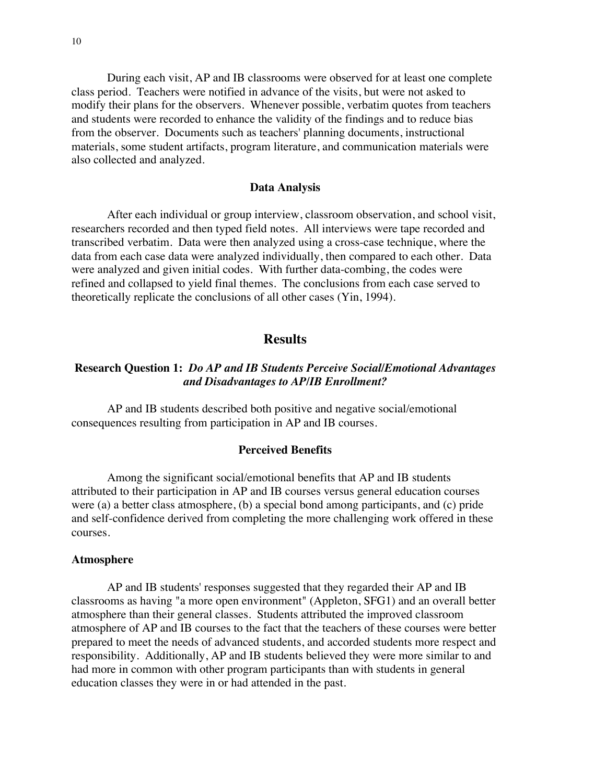During each visit, AP and IB classrooms were observed for at least one complete class period. Teachers were notified in advance of the visits, but were not asked to modify their plans for the observers. Whenever possible, verbatim quotes from teachers and students were recorded to enhance the validity of the findings and to reduce bias from the observer. Documents such as teachers' planning documents, instructional materials, some student artifacts, program literature, and communication materials were also collected and analyzed.

#### **Data Analysis**

After each individual or group interview, classroom observation, and school visit, researchers recorded and then typed field notes. All interviews were tape recorded and transcribed verbatim. Data were then analyzed using a cross-case technique, where the data from each case data were analyzed individually, then compared to each other. Data were analyzed and given initial codes. With further data-combing, the codes were refined and collapsed to yield final themes. The conclusions from each case served to theoretically replicate the conclusions of all other cases (Yin, 1994).

## **Results**

### **Research Question 1:** *Do AP and IB Students Perceive Social/Emotional Advantages and Disadvantages to AP/IB Enrollment?*

AP and IB students described both positive and negative social/emotional consequences resulting from participation in AP and IB courses.

#### **Perceived Benefits**

Among the significant social/emotional benefits that AP and IB students attributed to their participation in AP and IB courses versus general education courses were (a) a better class atmosphere, (b) a special bond among participants, and (c) pride and self-confidence derived from completing the more challenging work offered in these courses.

#### **Atmosphere**

AP and IB students' responses suggested that they regarded their AP and IB classrooms as having "a more open environment" (Appleton, SFG1) and an overall better atmosphere than their general classes. Students attributed the improved classroom atmosphere of AP and IB courses to the fact that the teachers of these courses were better prepared to meet the needs of advanced students, and accorded students more respect and responsibility. Additionally, AP and IB students believed they were more similar to and had more in common with other program participants than with students in general education classes they were in or had attended in the past.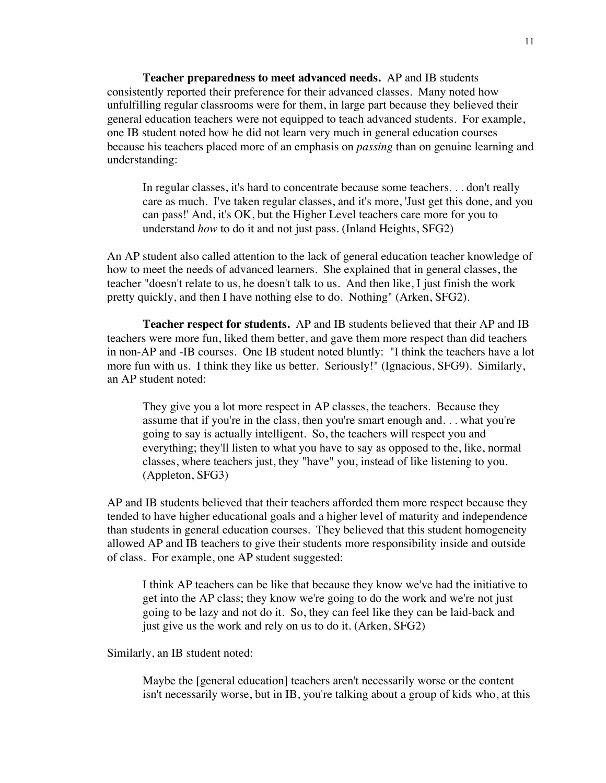**Teacher preparedness to meet advanced needs.** AP and IB students consistently reported their preference for their advanced classes. Many noted how unfulfilling regular classrooms were for them, in large part because they believed their general education teachers were not equipped to teach advanced students. For example, one IB student noted how he did not learn very much in general education courses because his teachers placed more of an emphasis on *passing* than on genuine learning and understanding:

In regular classes, it's hard to concentrate because some teachers. . . don't really care as much. I've taken regular classes, and it's more, 'Just get this done, and you can pass!' And, it's OK, but the Higher Level teachers care more for you to understand *how* to do it and not just pass. (Inland Heights, SFG2)

An AP student also called attention to the lack of general education teacher knowledge of how to meet the needs of advanced learners. She explained that in general classes, the teacher "doesn't relate to us, he doesn't talk to us. And then like, I just finish the work pretty quickly, and then I have nothing else to do. Nothing" (Arken, SFG2).

**Teacher respect for students.** AP and IB students believed that their AP and IB teachers were more fun, liked them better, and gave them more respect than did teachers in non-AP and -IB courses. One IB student noted bluntly: "I think the teachers have a lot more fun with us. I think they like us better. Seriously!" (Ignacious, SFG9). Similarly, an AP student noted:

They give you a lot more respect in AP classes, the teachers. Because they assume that if you're in the class, then you're smart enough and. . . what you're going to say is actually intelligent. So, the teachers will respect you and everything; they'll listen to what you have to say as opposed to the, like, normal classes, where teachers just, they "have" you, instead of like listening to you. (Appleton, SFG3)

AP and IB students believed that their teachers afforded them more respect because they tended to have higher educational goals and a higher level of maturity and independence than students in general education courses. They believed that this student homogeneity allowed AP and IB teachers to give their students more responsibility inside and outside of class. For example, one AP student suggested:

I think AP teachers can be like that because they know we've had the initiative to get into the AP class; they know we're going to do the work and we're not just going to be lazy and not do it. So, they can feel like they can be laid-back and just give us the work and rely on us to do it. (Arken, SFG2)

Similarly, an IB student noted:

Maybe the [general education] teachers aren't necessarily worse or the content isn't necessarily worse, but in IB, you're talking about a group of kids who, at this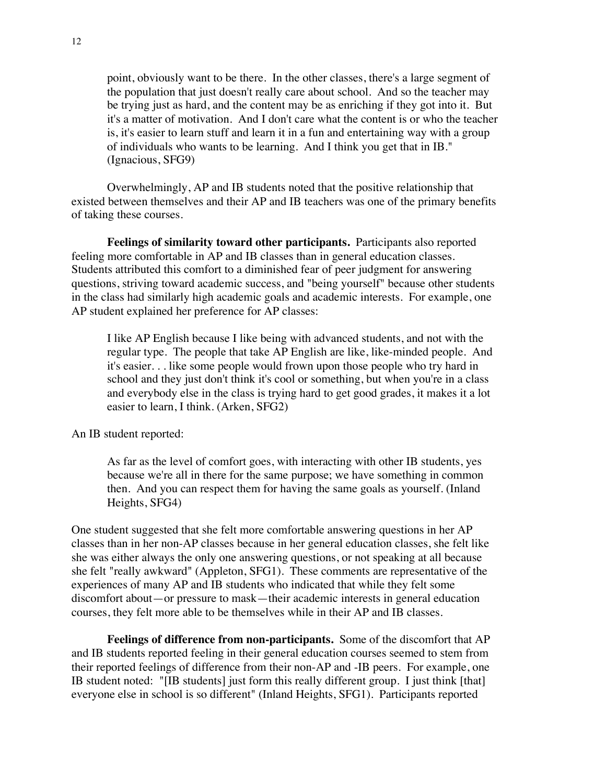point, obviously want to be there. In the other classes, there's a large segment of the population that just doesn't really care about school. And so the teacher may be trying just as hard, and the content may be as enriching if they got into it. But it's a matter of motivation. And I don't care what the content is or who the teacher is, it's easier to learn stuff and learn it in a fun and entertaining way with a group of individuals who wants to be learning. And I think you get that in IB." (Ignacious, SFG9)

Overwhelmingly, AP and IB students noted that the positive relationship that existed between themselves and their AP and IB teachers was one of the primary benefits of taking these courses.

**Feelings of similarity toward other participants.** Participants also reported feeling more comfortable in AP and IB classes than in general education classes. Students attributed this comfort to a diminished fear of peer judgment for answering questions, striving toward academic success, and "being yourself" because other students in the class had similarly high academic goals and academic interests. For example, one AP student explained her preference for AP classes:

I like AP English because I like being with advanced students, and not with the regular type. The people that take AP English are like, like-minded people. And it's easier. . . like some people would frown upon those people who try hard in school and they just don't think it's cool or something, but when you're in a class and everybody else in the class is trying hard to get good grades, it makes it a lot easier to learn, I think. (Arken, SFG2)

An IB student reported:

As far as the level of comfort goes, with interacting with other IB students, yes because we're all in there for the same purpose; we have something in common then. And you can respect them for having the same goals as yourself. (Inland Heights, SFG4)

One student suggested that she felt more comfortable answering questions in her AP classes than in her non-AP classes because in her general education classes, she felt like she was either always the only one answering questions, or not speaking at all because she felt "really awkward" (Appleton, SFG1). These comments are representative of the experiences of many AP and IB students who indicated that while they felt some discomfort about—or pressure to mask—their academic interests in general education courses, they felt more able to be themselves while in their AP and IB classes.

**Feelings of difference from non-participants.** Some of the discomfort that AP and IB students reported feeling in their general education courses seemed to stem from their reported feelings of difference from their non-AP and -IB peers. For example, one IB student noted: "[IB students] just form this really different group. I just think [that] everyone else in school is so different" (Inland Heights, SFG1). Participants reported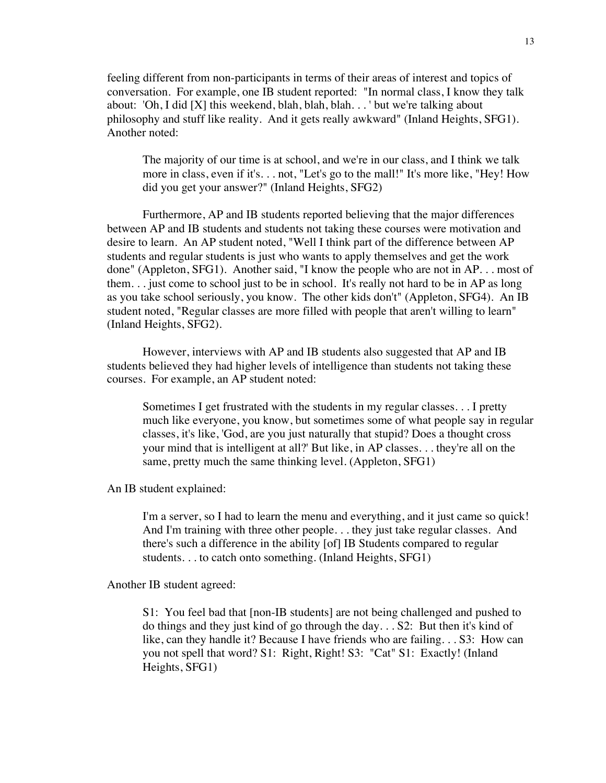feeling different from non-participants in terms of their areas of interest and topics of conversation. For example, one IB student reported: "In normal class, I know they talk about: 'Oh, I did [X] this weekend, blah, blah, blah. . . ' but we're talking about philosophy and stuff like reality. And it gets really awkward" (Inland Heights, SFG1). Another noted:

The majority of our time is at school, and we're in our class, and I think we talk more in class, even if it's. . . not, "Let's go to the mall!" It's more like, "Hey! How did you get your answer?" (Inland Heights, SFG2)

Furthermore, AP and IB students reported believing that the major differences between AP and IB students and students not taking these courses were motivation and desire to learn. An AP student noted, "Well I think part of the difference between AP students and regular students is just who wants to apply themselves and get the work done" (Appleton, SFG1). Another said, "I know the people who are not in AP. . . most of them. . . just come to school just to be in school. It's really not hard to be in AP as long as you take school seriously, you know. The other kids don't" (Appleton, SFG4). An IB student noted, "Regular classes are more filled with people that aren't willing to learn" (Inland Heights, SFG2).

However, interviews with AP and IB students also suggested that AP and IB students believed they had higher levels of intelligence than students not taking these courses. For example, an AP student noted:

Sometimes I get frustrated with the students in my regular classes. . . I pretty much like everyone, you know, but sometimes some of what people say in regular classes, it's like, 'God, are you just naturally that stupid? Does a thought cross your mind that is intelligent at all?' But like, in AP classes. . . they're all on the same, pretty much the same thinking level. (Appleton, SFG1)

An IB student explained:

I'm a server, so I had to learn the menu and everything, and it just came so quick! And I'm training with three other people. . . they just take regular classes. And there's such a difference in the ability [of] IB Students compared to regular students. . . to catch onto something. (Inland Heights, SFG1)

Another IB student agreed:

S1: You feel bad that [non-IB students] are not being challenged and pushed to do things and they just kind of go through the day. . . S2: But then it's kind of like, can they handle it? Because I have friends who are failing. . . S3: How can you not spell that word? S1: Right, Right! S3: "Cat" S1: Exactly! (Inland Heights, SFG1)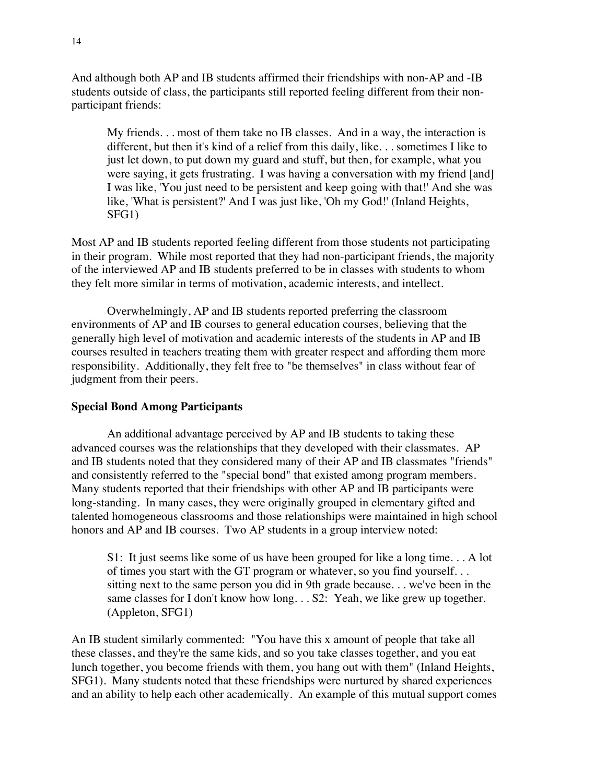And although both AP and IB students affirmed their friendships with non-AP and -IB students outside of class, the participants still reported feeling different from their nonparticipant friends:

My friends. . . most of them take no IB classes. And in a way, the interaction is different, but then it's kind of a relief from this daily, like. . . sometimes I like to just let down, to put down my guard and stuff, but then, for example, what you were saying, it gets frustrating. I was having a conversation with my friend [and] I was like, 'You just need to be persistent and keep going with that!' And she was like, 'What is persistent?' And I was just like, 'Oh my God!' (Inland Heights, SFG1)

Most AP and IB students reported feeling different from those students not participating in their program. While most reported that they had non-participant friends, the majority of the interviewed AP and IB students preferred to be in classes with students to whom they felt more similar in terms of motivation, academic interests, and intellect.

Overwhelmingly, AP and IB students reported preferring the classroom environments of AP and IB courses to general education courses, believing that the generally high level of motivation and academic interests of the students in AP and IB courses resulted in teachers treating them with greater respect and affording them more responsibility. Additionally, they felt free to "be themselves" in class without fear of judgment from their peers.

### **Special Bond Among Participants**

An additional advantage perceived by AP and IB students to taking these advanced courses was the relationships that they developed with their classmates. AP and IB students noted that they considered many of their AP and IB classmates "friends" and consistently referred to the "special bond" that existed among program members. Many students reported that their friendships with other AP and IB participants were long-standing. In many cases, they were originally grouped in elementary gifted and talented homogeneous classrooms and those relationships were maintained in high school honors and AP and IB courses. Two AP students in a group interview noted:

S1: It just seems like some of us have been grouped for like a long time. . . A lot of times you start with the GT program or whatever, so you find yourself. . . sitting next to the same person you did in 9th grade because. . . we've been in the same classes for I don't know how long. . . S2: Yeah, we like grew up together. (Appleton, SFG1)

An IB student similarly commented: "You have this x amount of people that take all these classes, and they're the same kids, and so you take classes together, and you eat lunch together, you become friends with them, you hang out with them" (Inland Heights, SFG1). Many students noted that these friendships were nurtured by shared experiences and an ability to help each other academically. An example of this mutual support comes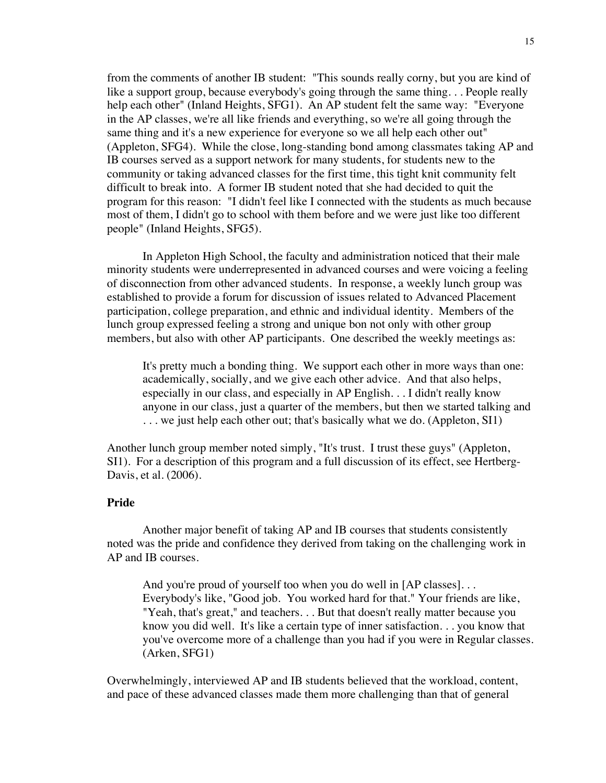from the comments of another IB student: "This sounds really corny, but you are kind of like a support group, because everybody's going through the same thing... People really help each other" (Inland Heights, SFG1). An AP student felt the same way: "Everyone in the AP classes, we're all like friends and everything, so we're all going through the same thing and it's a new experience for everyone so we all help each other out" (Appleton, SFG4). While the close, long-standing bond among classmates taking AP and IB courses served as a support network for many students, for students new to the community or taking advanced classes for the first time, this tight knit community felt difficult to break into. A former IB student noted that she had decided to quit the program for this reason: "I didn't feel like I connected with the students as much because most of them, I didn't go to school with them before and we were just like too different people" (Inland Heights, SFG5).

In Appleton High School, the faculty and administration noticed that their male minority students were underrepresented in advanced courses and were voicing a feeling of disconnection from other advanced students. In response, a weekly lunch group was established to provide a forum for discussion of issues related to Advanced Placement participation, college preparation, and ethnic and individual identity. Members of the lunch group expressed feeling a strong and unique bon not only with other group members, but also with other AP participants. One described the weekly meetings as:

It's pretty much a bonding thing. We support each other in more ways than one: academically, socially, and we give each other advice. And that also helps, especially in our class, and especially in AP English. . . I didn't really know anyone in our class, just a quarter of the members, but then we started talking and . . . we just help each other out; that's basically what we do. (Appleton, SI1)

Another lunch group member noted simply, "It's trust. I trust these guys" (Appleton, SI1). For a description of this program and a full discussion of its effect, see Hertberg-Davis, et al. (2006).

### **Pride**

Another major benefit of taking AP and IB courses that students consistently noted was the pride and confidence they derived from taking on the challenging work in AP and IB courses.

And you're proud of yourself too when you do well in [AP classes]... Everybody's like, "Good job. You worked hard for that." Your friends are like, "Yeah, that's great," and teachers. . . But that doesn't really matter because you know you did well. It's like a certain type of inner satisfaction. . . you know that you've overcome more of a challenge than you had if you were in Regular classes. (Arken, SFG1)

Overwhelmingly, interviewed AP and IB students believed that the workload, content, and pace of these advanced classes made them more challenging than that of general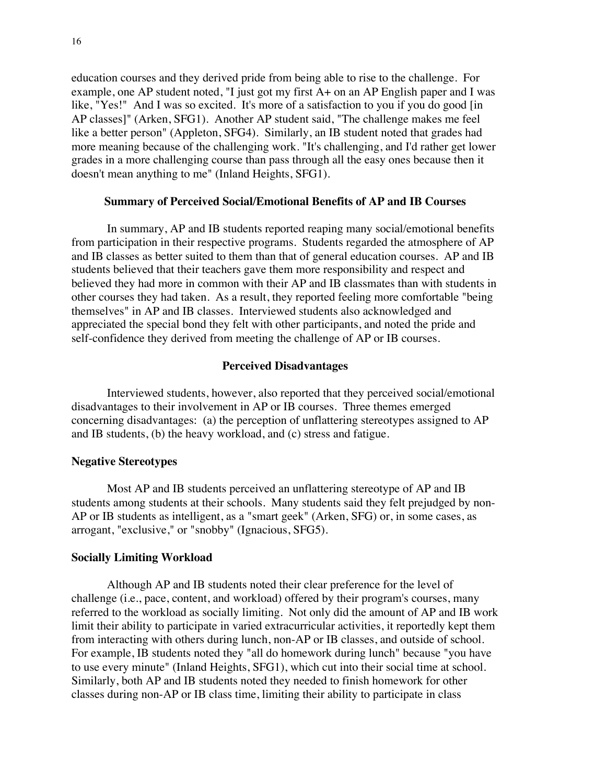education courses and they derived pride from being able to rise to the challenge. For example, one AP student noted, "I just got my first A+ on an AP English paper and I was like, "Yes!" And I was so excited. It's more of a satisfaction to you if you do good [in] AP classes]" (Arken, SFG1). Another AP student said, "The challenge makes me feel like a better person" (Appleton, SFG4). Similarly, an IB student noted that grades had more meaning because of the challenging work. "It's challenging, and I'd rather get lower grades in a more challenging course than pass through all the easy ones because then it doesn't mean anything to me" (Inland Heights, SFG1).

#### **Summary of Perceived Social/Emotional Benefits of AP and IB Courses**

In summary, AP and IB students reported reaping many social/emotional benefits from participation in their respective programs. Students regarded the atmosphere of AP and IB classes as better suited to them than that of general education courses. AP and IB students believed that their teachers gave them more responsibility and respect and believed they had more in common with their AP and IB classmates than with students in other courses they had taken. As a result, they reported feeling more comfortable "being themselves" in AP and IB classes. Interviewed students also acknowledged and appreciated the special bond they felt with other participants, and noted the pride and self-confidence they derived from meeting the challenge of AP or IB courses.

#### **Perceived Disadvantages**

Interviewed students, however, also reported that they perceived social/emotional disadvantages to their involvement in AP or IB courses. Three themes emerged concerning disadvantages: (a) the perception of unflattering stereotypes assigned to AP and IB students, (b) the heavy workload, and (c) stress and fatigue.

#### **Negative Stereotypes**

Most AP and IB students perceived an unflattering stereotype of AP and IB students among students at their schools. Many students said they felt prejudged by non-AP or IB students as intelligent, as a "smart geek" (Arken, SFG) or, in some cases, as arrogant, "exclusive," or "snobby" (Ignacious, SFG5).

#### **Socially Limiting Workload**

Although AP and IB students noted their clear preference for the level of challenge (i.e., pace, content, and workload) offered by their program's courses, many referred to the workload as socially limiting. Not only did the amount of AP and IB work limit their ability to participate in varied extracurricular activities, it reportedly kept them from interacting with others during lunch, non-AP or IB classes, and outside of school. For example, IB students noted they "all do homework during lunch" because "you have to use every minute" (Inland Heights, SFG1), which cut into their social time at school. Similarly, both AP and IB students noted they needed to finish homework for other classes during non-AP or IB class time, limiting their ability to participate in class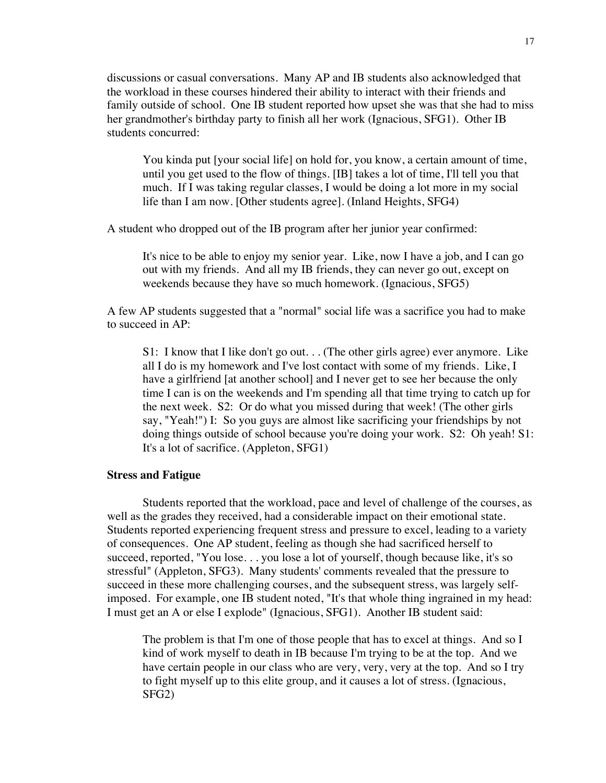discussions or casual conversations. Many AP and IB students also acknowledged that the workload in these courses hindered their ability to interact with their friends and family outside of school. One IB student reported how upset she was that she had to miss her grandmother's birthday party to finish all her work (Ignacious, SFG1). Other IB students concurred:

You kinda put [your social life] on hold for, you know, a certain amount of time, until you get used to the flow of things. [IB] takes a lot of time, I'll tell you that much. If I was taking regular classes, I would be doing a lot more in my social life than I am now. [Other students agree]. (Inland Heights, SFG4)

A student who dropped out of the IB program after her junior year confirmed:

It's nice to be able to enjoy my senior year. Like, now I have a job, and I can go out with my friends. And all my IB friends, they can never go out, except on weekends because they have so much homework. (Ignacious, SFG5)

A few AP students suggested that a "normal" social life was a sacrifice you had to make to succeed in AP:

S1: I know that I like don't go out. . . (The other girls agree) ever anymore. Like all I do is my homework and I've lost contact with some of my friends. Like, I have a girlfriend [at another school] and I never get to see her because the only time I can is on the weekends and I'm spending all that time trying to catch up for the next week. S2: Or do what you missed during that week! (The other girls say, "Yeah!") I: So you guys are almost like sacrificing your friendships by not doing things outside of school because you're doing your work. S2: Oh yeah! S1: It's a lot of sacrifice. (Appleton, SFG1)

#### **Stress and Fatigue**

Students reported that the workload, pace and level of challenge of the courses, as well as the grades they received, had a considerable impact on their emotional state. Students reported experiencing frequent stress and pressure to excel, leading to a variety of consequences. One AP student, feeling as though she had sacrificed herself to succeed, reported, "You lose. . . you lose a lot of yourself, though because like, it's so stressful" (Appleton, SFG3). Many students' comments revealed that the pressure to succeed in these more challenging courses, and the subsequent stress, was largely selfimposed. For example, one IB student noted, "It's that whole thing ingrained in my head: I must get an A or else I explode" (Ignacious, SFG1). Another IB student said:

The problem is that I'm one of those people that has to excel at things. And so I kind of work myself to death in IB because I'm trying to be at the top. And we have certain people in our class who are very, very, very at the top. And so I try to fight myself up to this elite group, and it causes a lot of stress. (Ignacious, SFG2)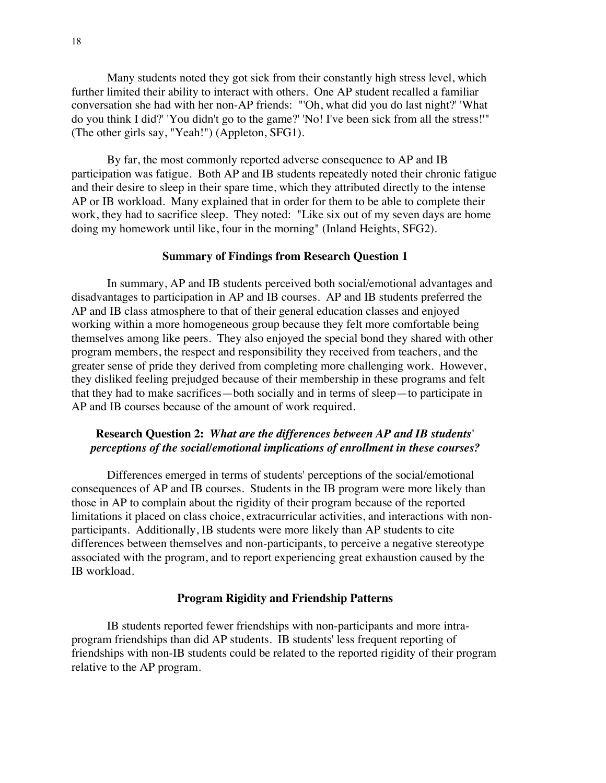Many students noted they got sick from their constantly high stress level, which further limited their ability to interact with others. One AP student recalled a familiar conversation she had with her non-AP friends: "'Oh, what did you do last night?' 'What do you think I did?' 'You didn't go to the game?' 'No! I've been sick from all the stress!'" (The other girls say, "Yeah!") (Appleton, SFG1).

By far, the most commonly reported adverse consequence to AP and IB participation was fatigue. Both AP and IB students repeatedly noted their chronic fatigue and their desire to sleep in their spare time, which they attributed directly to the intense AP or IB workload. Many explained that in order for them to be able to complete their work, they had to sacrifice sleep. They noted: "Like six out of my seven days are home doing my homework until like, four in the morning" (Inland Heights, SFG2).

#### **Summary of Findings from Research Question 1**

In summary, AP and IB students perceived both social/emotional advantages and disadvantages to participation in AP and IB courses. AP and IB students preferred the AP and IB class atmosphere to that of their general education classes and enjoyed working within a more homogeneous group because they felt more comfortable being themselves among like peers. They also enjoyed the special bond they shared with other program members, the respect and responsibility they received from teachers, and the greater sense of pride they derived from completing more challenging work. However, they disliked feeling prejudged because of their membership in these programs and felt that they had to make sacrifices—both socially and in terms of sleep—to participate in AP and IB courses because of the amount of work required.

## **Research Question 2:** *What are the differences between AP and IB students' perceptions of the social/emotional implications of enrollment in these courses?*

Differences emerged in terms of students' perceptions of the social/emotional consequences of AP and IB courses. Students in the IB program were more likely than those in AP to complain about the rigidity of their program because of the reported limitations it placed on class choice, extracurricular activities, and interactions with nonparticipants. Additionally, IB students were more likely than AP students to cite differences between themselves and non-participants, to perceive a negative stereotype associated with the program, and to report experiencing great exhaustion caused by the IB workload.

#### **Program Rigidity and Friendship Patterns**

IB students reported fewer friendships with non-participants and more intraprogram friendships than did AP students. IB students' less frequent reporting of friendships with non-IB students could be related to the reported rigidity of their program relative to the AP program.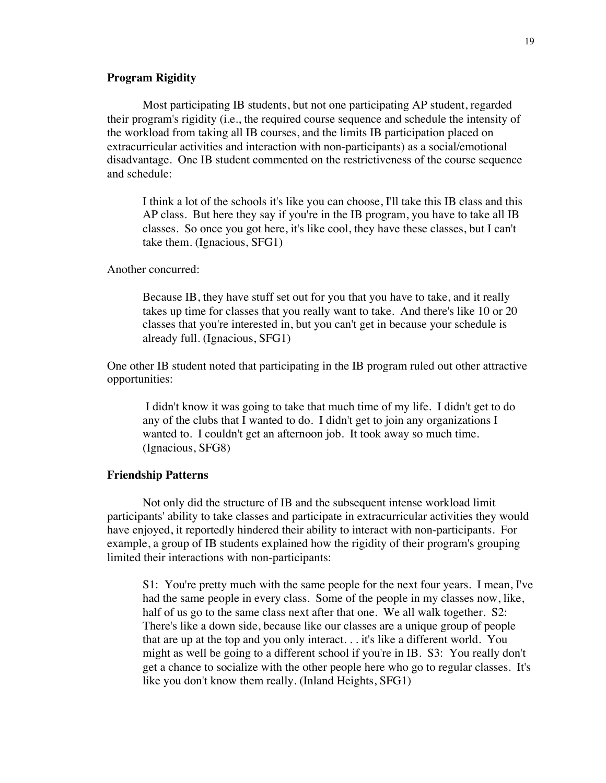#### **Program Rigidity**

Most participating IB students, but not one participating AP student, regarded their program's rigidity (i.e., the required course sequence and schedule the intensity of the workload from taking all IB courses, and the limits IB participation placed on extracurricular activities and interaction with non-participants) as a social/emotional disadvantage. One IB student commented on the restrictiveness of the course sequence and schedule:

I think a lot of the schools it's like you can choose, I'll take this IB class and this AP class. But here they say if you're in the IB program, you have to take all IB classes. So once you got here, it's like cool, they have these classes, but I can't take them. (Ignacious, SFG1)

#### Another concurred:

Because IB, they have stuff set out for you that you have to take, and it really takes up time for classes that you really want to take. And there's like 10 or 20 classes that you're interested in, but you can't get in because your schedule is already full. (Ignacious, SFG1)

One other IB student noted that participating in the IB program ruled out other attractive opportunities:

I didn't know it was going to take that much time of my life. I didn't get to do any of the clubs that I wanted to do. I didn't get to join any organizations I wanted to. I couldn't get an afternoon job. It took away so much time. (Ignacious, SFG8)

#### **Friendship Patterns**

Not only did the structure of IB and the subsequent intense workload limit participants' ability to take classes and participate in extracurricular activities they would have enjoyed, it reportedly hindered their ability to interact with non-participants. For example, a group of IB students explained how the rigidity of their program's grouping limited their interactions with non-participants:

S1: You're pretty much with the same people for the next four years. I mean, I've had the same people in every class. Some of the people in my classes now, like, half of us go to the same class next after that one. We all walk together. S2: There's like a down side, because like our classes are a unique group of people that are up at the top and you only interact. . . it's like a different world. You might as well be going to a different school if you're in IB. S3: You really don't get a chance to socialize with the other people here who go to regular classes. It's like you don't know them really. (Inland Heights, SFG1)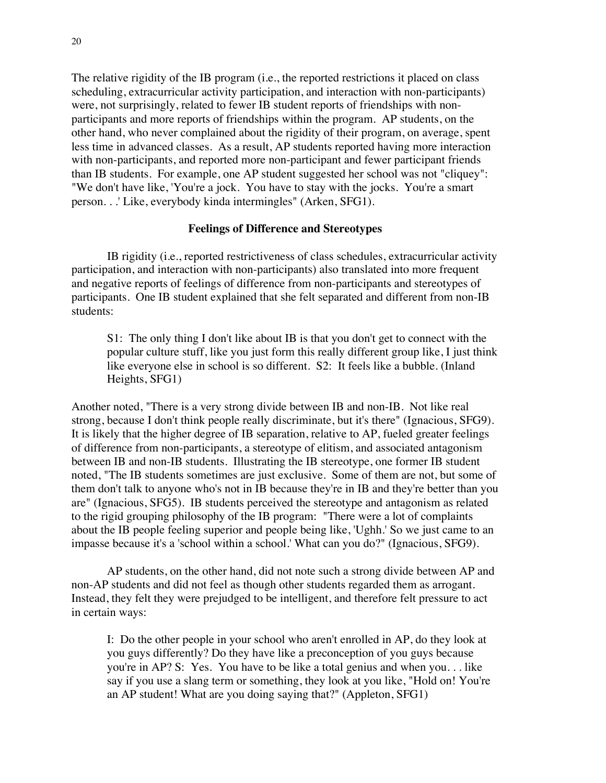The relative rigidity of the IB program (i.e., the reported restrictions it placed on class scheduling, extracurricular activity participation, and interaction with non-participants) were, not surprisingly, related to fewer IB student reports of friendships with nonparticipants and more reports of friendships within the program. AP students, on the other hand, who never complained about the rigidity of their program, on average, spent less time in advanced classes. As a result, AP students reported having more interaction with non-participants, and reported more non-participant and fewer participant friends than IB students. For example, one AP student suggested her school was not "cliquey": "We don't have like, 'You're a jock. You have to stay with the jocks. You're a smart person. . .' Like, everybody kinda intermingles" (Arken, SFG1).

#### **Feelings of Difference and Stereotypes**

IB rigidity (i.e., reported restrictiveness of class schedules, extracurricular activity participation, and interaction with non-participants) also translated into more frequent and negative reports of feelings of difference from non-participants and stereotypes of participants. One IB student explained that she felt separated and different from non-IB students:

S1: The only thing I don't like about IB is that you don't get to connect with the popular culture stuff, like you just form this really different group like, I just think like everyone else in school is so different. S2: It feels like a bubble. (Inland Heights, SFG1)

Another noted, "There is a very strong divide between IB and non-IB. Not like real strong, because I don't think people really discriminate, but it's there" (Ignacious, SFG9). It is likely that the higher degree of IB separation, relative to AP, fueled greater feelings of difference from non-participants, a stereotype of elitism, and associated antagonism between IB and non-IB students. Illustrating the IB stereotype, one former IB student noted, "The IB students sometimes are just exclusive. Some of them are not, but some of them don't talk to anyone who's not in IB because they're in IB and they're better than you are" (Ignacious, SFG5). IB students perceived the stereotype and antagonism as related to the rigid grouping philosophy of the IB program: "There were a lot of complaints about the IB people feeling superior and people being like, 'Ughh.' So we just came to an impasse because it's a 'school within a school.' What can you do?" (Ignacious, SFG9).

AP students, on the other hand, did not note such a strong divide between AP and non-AP students and did not feel as though other students regarded them as arrogant. Instead, they felt they were prejudged to be intelligent, and therefore felt pressure to act in certain ways:

I: Do the other people in your school who aren't enrolled in AP, do they look at you guys differently? Do they have like a preconception of you guys because you're in AP? S: Yes. You have to be like a total genius and when you. . . like say if you use a slang term or something, they look at you like, "Hold on! You're an AP student! What are you doing saying that?" (Appleton, SFG1)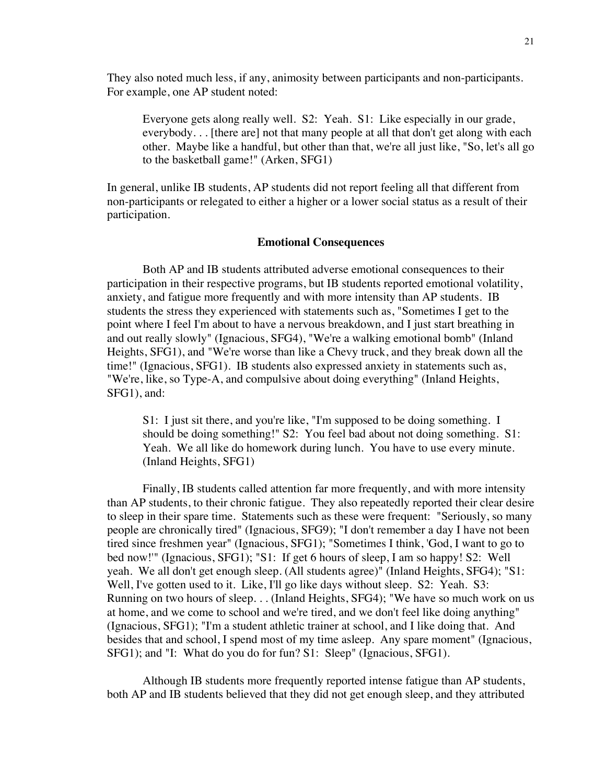They also noted much less, if any, animosity between participants and non-participants. For example, one AP student noted:

Everyone gets along really well. S2: Yeah. S1: Like especially in our grade, everybody. . . [there are] not that many people at all that don't get along with each other. Maybe like a handful, but other than that, we're all just like, "So, let's all go to the basketball game!" (Arken, SFG1)

In general, unlike IB students, AP students did not report feeling all that different from non-participants or relegated to either a higher or a lower social status as a result of their participation.

#### **Emotional Consequences**

Both AP and IB students attributed adverse emotional consequences to their participation in their respective programs, but IB students reported emotional volatility, anxiety, and fatigue more frequently and with more intensity than AP students. IB students the stress they experienced with statements such as, "Sometimes I get to the point where I feel I'm about to have a nervous breakdown, and I just start breathing in and out really slowly" (Ignacious, SFG4), "We're a walking emotional bomb" (Inland Heights, SFG1), and "We're worse than like a Chevy truck, and they break down all the time!" (Ignacious, SFG1). IB students also expressed anxiety in statements such as, "We're, like, so Type-A, and compulsive about doing everything" (Inland Heights, SFG1), and:

S1: I just sit there, and you're like, "I'm supposed to be doing something. I should be doing something!" S2: You feel bad about not doing something. S1: Yeah. We all like do homework during lunch. You have to use every minute. (Inland Heights, SFG1)

Finally, IB students called attention far more frequently, and with more intensity than AP students, to their chronic fatigue. They also repeatedly reported their clear desire to sleep in their spare time. Statements such as these were frequent: "Seriously, so many people are chronically tired" (Ignacious, SFG9); "I don't remember a day I have not been tired since freshmen year" (Ignacious, SFG1); "Sometimes I think, 'God, I want to go to bed now!'" (Ignacious, SFG1); "S1: If get 6 hours of sleep, I am so happy! S2: Well yeah. We all don't get enough sleep. (All students agree)" (Inland Heights, SFG4); "S1: Well, I've gotten used to it. Like, I'll go like days without sleep. S2: Yeah. S3: Running on two hours of sleep. . . (Inland Heights, SFG4); "We have so much work on us at home, and we come to school and we're tired, and we don't feel like doing anything" (Ignacious, SFG1); "I'm a student athletic trainer at school, and I like doing that. And besides that and school, I spend most of my time asleep. Any spare moment" (Ignacious, SFG1); and "I: What do you do for fun? S1: Sleep" (Ignacious, SFG1).

Although IB students more frequently reported intense fatigue than AP students, both AP and IB students believed that they did not get enough sleep, and they attributed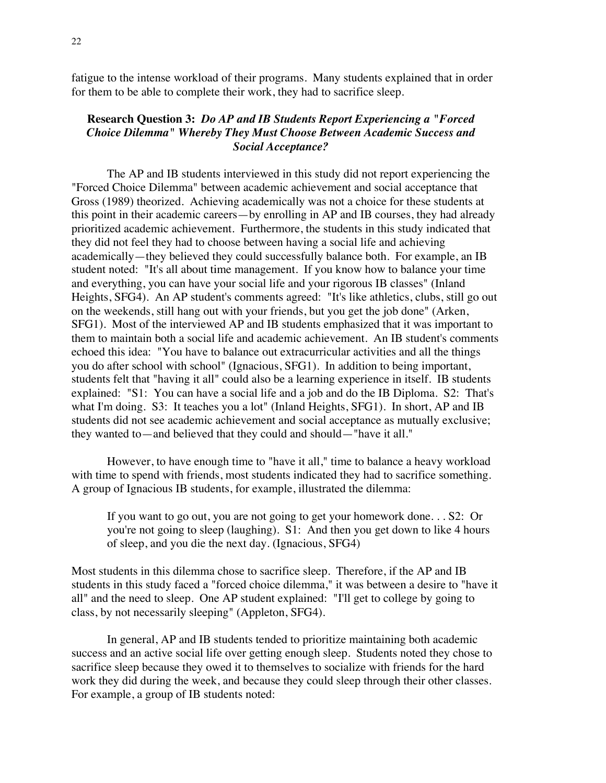fatigue to the intense workload of their programs. Many students explained that in order for them to be able to complete their work, they had to sacrifice sleep.

## **Research Question 3:** *Do AP and IB Students Report Experiencing a "Forced Choice Dilemma" Whereby They Must Choose Between Academic Success and Social Acceptance?*

The AP and IB students interviewed in this study did not report experiencing the "Forced Choice Dilemma" between academic achievement and social acceptance that Gross (1989) theorized. Achieving academically was not a choice for these students at this point in their academic careers—by enrolling in AP and IB courses, they had already prioritized academic achievement. Furthermore, the students in this study indicated that they did not feel they had to choose between having a social life and achieving academically—they believed they could successfully balance both. For example, an IB student noted: "It's all about time management. If you know how to balance your time and everything, you can have your social life and your rigorous IB classes" (Inland Heights, SFG4). An AP student's comments agreed: "It's like athletics, clubs, still go out on the weekends, still hang out with your friends, but you get the job done" (Arken, SFG1). Most of the interviewed AP and IB students emphasized that it was important to them to maintain both a social life and academic achievement. An IB student's comments echoed this idea: "You have to balance out extracurricular activities and all the things you do after school with school" (Ignacious, SFG1). In addition to being important, students felt that "having it all" could also be a learning experience in itself. IB students explained: "S1: You can have a social life and a job and do the IB Diploma. S2: That's what I'm doing. S3: It teaches you a lot" (Inland Heights, SFG1). In short, AP and IB students did not see academic achievement and social acceptance as mutually exclusive; they wanted to—and believed that they could and should—"have it all."

However, to have enough time to "have it all," time to balance a heavy workload with time to spend with friends, most students indicated they had to sacrifice something. A group of Ignacious IB students, for example, illustrated the dilemma:

If you want to go out, you are not going to get your homework done. . . S2: Or you're not going to sleep (laughing). S1: And then you get down to like 4 hours of sleep, and you die the next day. (Ignacious, SFG4)

Most students in this dilemma chose to sacrifice sleep. Therefore, if the AP and IB students in this study faced a "forced choice dilemma," it was between a desire to "have it all" and the need to sleep. One AP student explained: "I'll get to college by going to class, by not necessarily sleeping" (Appleton, SFG4).

In general, AP and IB students tended to prioritize maintaining both academic success and an active social life over getting enough sleep. Students noted they chose to sacrifice sleep because they owed it to themselves to socialize with friends for the hard work they did during the week, and because they could sleep through their other classes. For example, a group of IB students noted: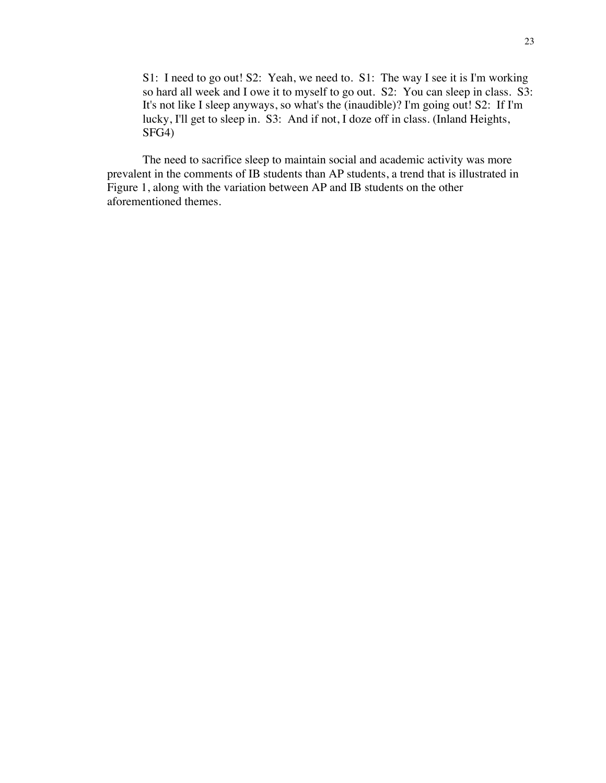S1: I need to go out! S2: Yeah, we need to. S1: The way I see it is I'm working so hard all week and I owe it to myself to go out. S2: You can sleep in class. S3: It's not like I sleep anyways, so what's the (inaudible)? I'm going out! S2: If I'm lucky, I'll get to sleep in. S3: And if not, I doze off in class. (Inland Heights, SFG4)

The need to sacrifice sleep to maintain social and academic activity was more prevalent in the comments of IB students than AP students, a trend that is illustrated in Figure 1, along with the variation between AP and IB students on the other aforementioned themes.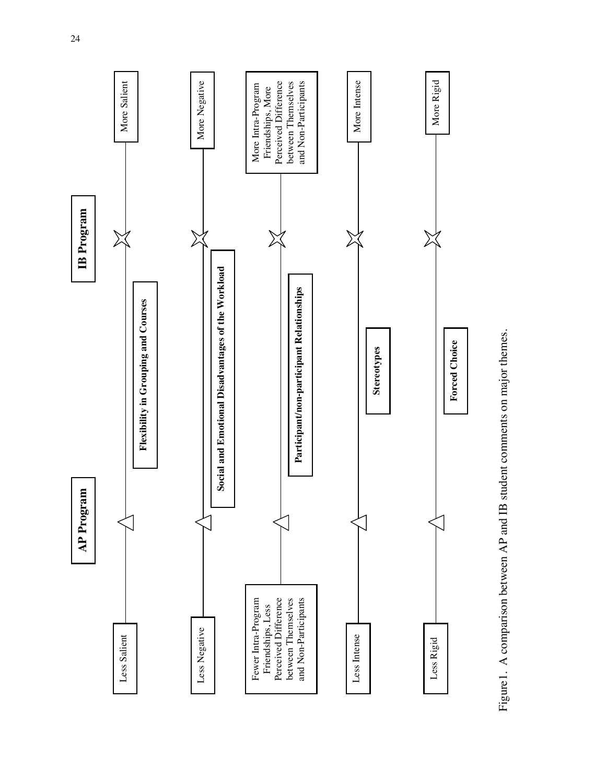

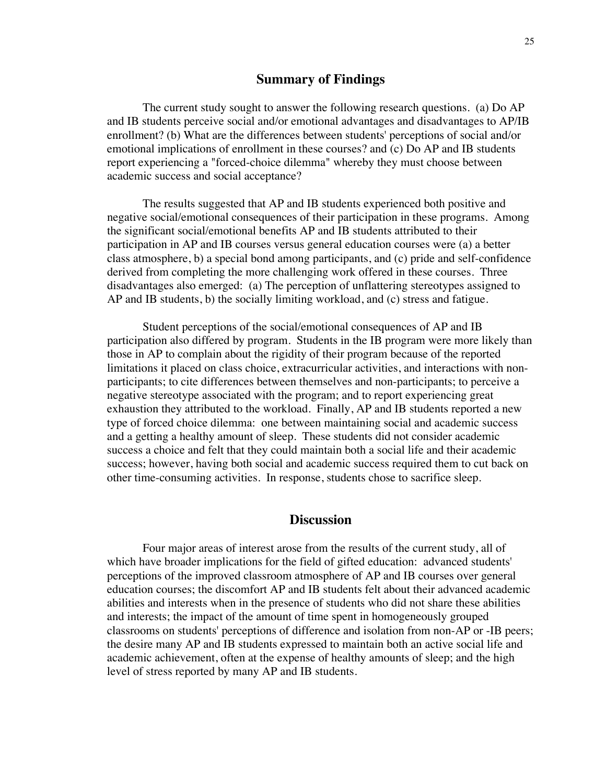### **Summary of Findings**

The current study sought to answer the following research questions. (a) Do AP and IB students perceive social and/or emotional advantages and disadvantages to AP/IB enrollment? (b) What are the differences between students' perceptions of social and/or emotional implications of enrollment in these courses? and (c) Do AP and IB students report experiencing a "forced-choice dilemma" whereby they must choose between academic success and social acceptance?

The results suggested that AP and IB students experienced both positive and negative social/emotional consequences of their participation in these programs. Among the significant social/emotional benefits AP and IB students attributed to their participation in AP and IB courses versus general education courses were (a) a better class atmosphere, b) a special bond among participants, and (c) pride and self-confidence derived from completing the more challenging work offered in these courses. Three disadvantages also emerged: (a) The perception of unflattering stereotypes assigned to AP and IB students, b) the socially limiting workload, and (c) stress and fatigue.

Student perceptions of the social/emotional consequences of AP and IB participation also differed by program. Students in the IB program were more likely than those in AP to complain about the rigidity of their program because of the reported limitations it placed on class choice, extracurricular activities, and interactions with nonparticipants; to cite differences between themselves and non-participants; to perceive a negative stereotype associated with the program; and to report experiencing great exhaustion they attributed to the workload. Finally, AP and IB students reported a new type of forced choice dilemma: one between maintaining social and academic success and a getting a healthy amount of sleep. These students did not consider academic success a choice and felt that they could maintain both a social life and their academic success; however, having both social and academic success required them to cut back on other time-consuming activities. In response, students chose to sacrifice sleep.

### **Discussion**

Four major areas of interest arose from the results of the current study, all of which have broader implications for the field of gifted education: advanced students' perceptions of the improved classroom atmosphere of AP and IB courses over general education courses; the discomfort AP and IB students felt about their advanced academic abilities and interests when in the presence of students who did not share these abilities and interests; the impact of the amount of time spent in homogeneously grouped classrooms on students' perceptions of difference and isolation from non-AP or -IB peers; the desire many AP and IB students expressed to maintain both an active social life and academic achievement, often at the expense of healthy amounts of sleep; and the high level of stress reported by many AP and IB students.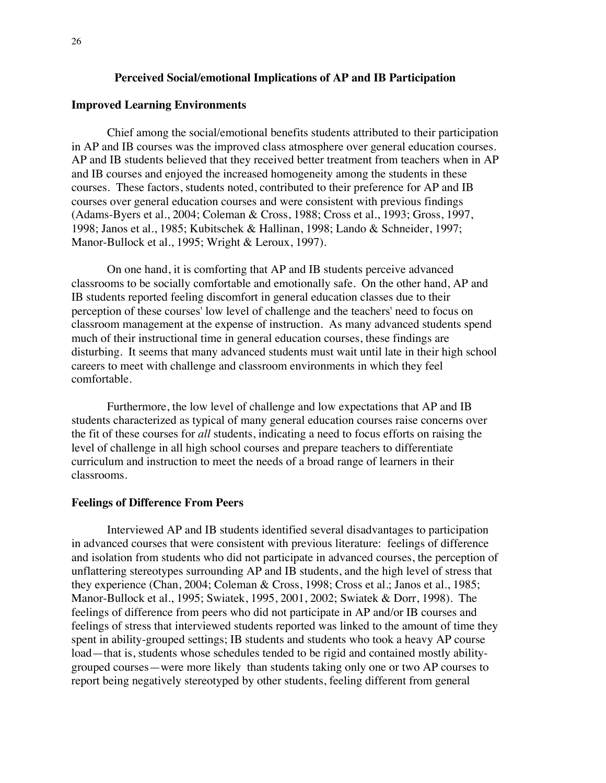#### **Perceived Social/emotional Implications of AP and IB Participation**

#### **Improved Learning Environments**

Chief among the social/emotional benefits students attributed to their participation in AP and IB courses was the improved class atmosphere over general education courses. AP and IB students believed that they received better treatment from teachers when in AP and IB courses and enjoyed the increased homogeneity among the students in these courses. These factors, students noted, contributed to their preference for AP and IB courses over general education courses and were consistent with previous findings (Adams-Byers et al., 2004; Coleman & Cross, 1988; Cross et al., 1993; Gross, 1997, 1998; Janos et al., 1985; Kubitschek & Hallinan, 1998; Lando & Schneider, 1997; Manor-Bullock et al., 1995; Wright & Leroux, 1997).

On one hand, it is comforting that AP and IB students perceive advanced classrooms to be socially comfortable and emotionally safe. On the other hand, AP and IB students reported feeling discomfort in general education classes due to their perception of these courses' low level of challenge and the teachers' need to focus on classroom management at the expense of instruction. As many advanced students spend much of their instructional time in general education courses, these findings are disturbing. It seems that many advanced students must wait until late in their high school careers to meet with challenge and classroom environments in which they feel comfortable.

Furthermore, the low level of challenge and low expectations that AP and IB students characterized as typical of many general education courses raise concerns over the fit of these courses for *all* students, indicating a need to focus efforts on raising the level of challenge in all high school courses and prepare teachers to differentiate curriculum and instruction to meet the needs of a broad range of learners in their classrooms.

#### **Feelings of Difference From Peers**

Interviewed AP and IB students identified several disadvantages to participation in advanced courses that were consistent with previous literature: feelings of difference and isolation from students who did not participate in advanced courses, the perception of unflattering stereotypes surrounding AP and IB students, and the high level of stress that they experience (Chan, 2004; Coleman & Cross, 1998; Cross et al.; Janos et al., 1985; Manor-Bullock et al., 1995; Swiatek, 1995, 2001, 2002; Swiatek & Dorr, 1998). The feelings of difference from peers who did not participate in AP and/or IB courses and feelings of stress that interviewed students reported was linked to the amount of time they spent in ability-grouped settings; IB students and students who took a heavy AP course load—that is, students whose schedules tended to be rigid and contained mostly abilitygrouped courses—were more likely than students taking only one or two AP courses to report being negatively stereotyped by other students, feeling different from general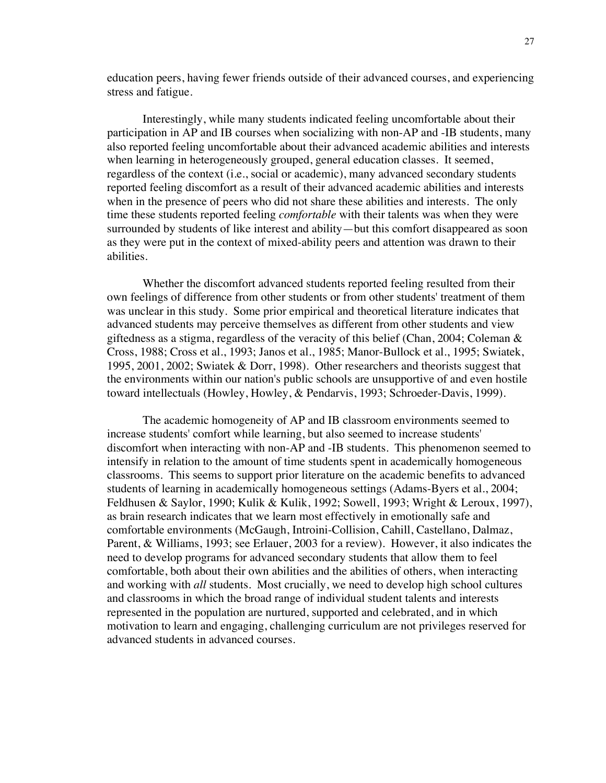education peers, having fewer friends outside of their advanced courses, and experiencing stress and fatigue.

Interestingly, while many students indicated feeling uncomfortable about their participation in AP and IB courses when socializing with non-AP and -IB students, many also reported feeling uncomfortable about their advanced academic abilities and interests when learning in heterogeneously grouped, general education classes. It seemed, regardless of the context (i.e., social or academic), many advanced secondary students reported feeling discomfort as a result of their advanced academic abilities and interests when in the presence of peers who did not share these abilities and interests. The only time these students reported feeling *comfortable* with their talents was when they were surrounded by students of like interest and ability—but this comfort disappeared as soon as they were put in the context of mixed-ability peers and attention was drawn to their abilities.

Whether the discomfort advanced students reported feeling resulted from their own feelings of difference from other students or from other students' treatment of them was unclear in this study. Some prior empirical and theoretical literature indicates that advanced students may perceive themselves as different from other students and view giftedness as a stigma, regardless of the veracity of this belief (Chan, 2004; Coleman & Cross, 1988; Cross et al., 1993; Janos et al., 1985; Manor-Bullock et al., 1995; Swiatek, 1995, 2001, 2002; Swiatek & Dorr, 1998). Other researchers and theorists suggest that the environments within our nation's public schools are unsupportive of and even hostile toward intellectuals (Howley, Howley, & Pendarvis, 1993; Schroeder-Davis, 1999).

The academic homogeneity of AP and IB classroom environments seemed to increase students' comfort while learning, but also seemed to increase students' discomfort when interacting with non-AP and -IB students. This phenomenon seemed to intensify in relation to the amount of time students spent in academically homogeneous classrooms. This seems to support prior literature on the academic benefits to advanced students of learning in academically homogeneous settings (Adams-Byers et al., 2004; Feldhusen & Saylor, 1990; Kulik & Kulik, 1992; Sowell, 1993; Wright & Leroux, 1997), as brain research indicates that we learn most effectively in emotionally safe and comfortable environments (McGaugh, Introini-Collision, Cahill, Castellano, Dalmaz, Parent, & Williams, 1993; see Erlauer, 2003 for a review). However, it also indicates the need to develop programs for advanced secondary students that allow them to feel comfortable, both about their own abilities and the abilities of others, when interacting and working with *all* students. Most crucially, we need to develop high school cultures and classrooms in which the broad range of individual student talents and interests represented in the population are nurtured, supported and celebrated, and in which motivation to learn and engaging, challenging curriculum are not privileges reserved for advanced students in advanced courses.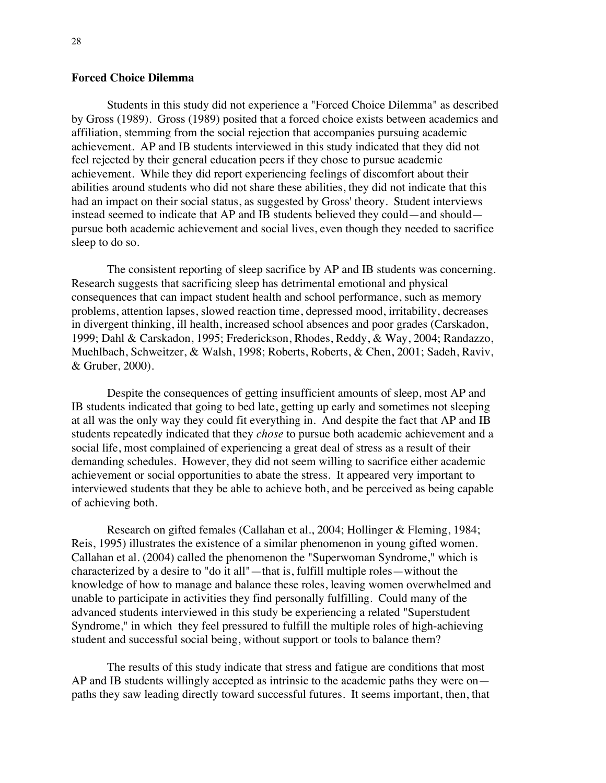#### **Forced Choice Dilemma**

Students in this study did not experience a "Forced Choice Dilemma" as described by Gross (1989). Gross (1989) posited that a forced choice exists between academics and affiliation, stemming from the social rejection that accompanies pursuing academic achievement. AP and IB students interviewed in this study indicated that they did not feel rejected by their general education peers if they chose to pursue academic achievement. While they did report experiencing feelings of discomfort about their abilities around students who did not share these abilities, they did not indicate that this had an impact on their social status, as suggested by Gross' theory. Student interviews instead seemed to indicate that AP and IB students believed they could—and should pursue both academic achievement and social lives, even though they needed to sacrifice sleep to do so.

The consistent reporting of sleep sacrifice by AP and IB students was concerning. Research suggests that sacrificing sleep has detrimental emotional and physical consequences that can impact student health and school performance, such as memory problems, attention lapses, slowed reaction time, depressed mood, irritability, decreases in divergent thinking, ill health, increased school absences and poor grades (Carskadon, 1999; Dahl & Carskadon, 1995; Frederickson, Rhodes, Reddy, & Way, 2004; Randazzo, Muehlbach, Schweitzer, & Walsh, 1998; Roberts, Roberts, & Chen, 2001; Sadeh, Raviv, & Gruber, 2000).

Despite the consequences of getting insufficient amounts of sleep, most AP and IB students indicated that going to bed late, getting up early and sometimes not sleeping at all was the only way they could fit everything in. And despite the fact that AP and IB students repeatedly indicated that they *chose* to pursue both academic achievement and a social life, most complained of experiencing a great deal of stress as a result of their demanding schedules. However, they did not seem willing to sacrifice either academic achievement or social opportunities to abate the stress. It appeared very important to interviewed students that they be able to achieve both, and be perceived as being capable of achieving both.

Research on gifted females (Callahan et al., 2004; Hollinger & Fleming, 1984; Reis, 1995) illustrates the existence of a similar phenomenon in young gifted women. Callahan et al. (2004) called the phenomenon the "Superwoman Syndrome," which is characterized by a desire to "do it all"—that is, fulfill multiple roles—without the knowledge of how to manage and balance these roles, leaving women overwhelmed and unable to participate in activities they find personally fulfilling. Could many of the advanced students interviewed in this study be experiencing a related "Superstudent Syndrome," in which they feel pressured to fulfill the multiple roles of high-achieving student and successful social being, without support or tools to balance them?

The results of this study indicate that stress and fatigue are conditions that most AP and IB students willingly accepted as intrinsic to the academic paths they were on paths they saw leading directly toward successful futures. It seems important, then, that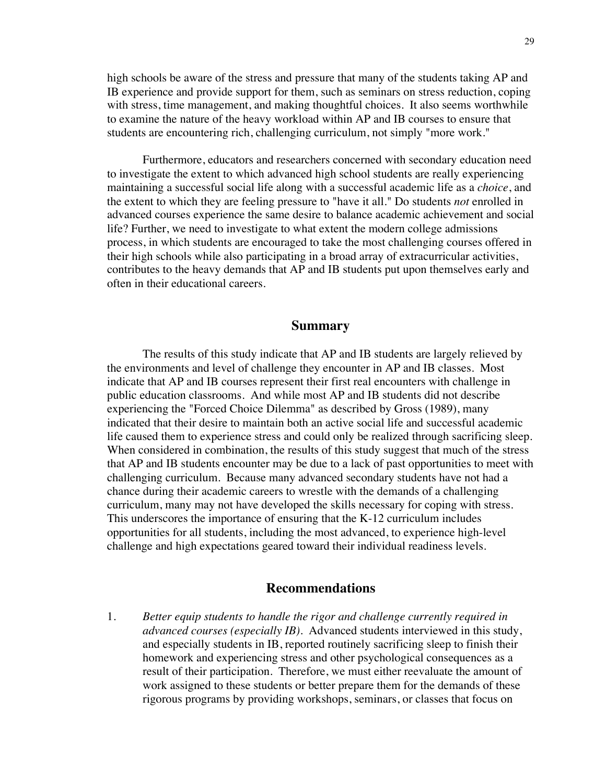high schools be aware of the stress and pressure that many of the students taking AP and IB experience and provide support for them, such as seminars on stress reduction, coping with stress, time management, and making thoughtful choices. It also seems worthwhile to examine the nature of the heavy workload within AP and IB courses to ensure that students are encountering rich, challenging curriculum, not simply "more work."

Furthermore, educators and researchers concerned with secondary education need to investigate the extent to which advanced high school students are really experiencing maintaining a successful social life along with a successful academic life as a *choice*, and the extent to which they are feeling pressure to "have it all." Do students *not* enrolled in advanced courses experience the same desire to balance academic achievement and social life? Further, we need to investigate to what extent the modern college admissions process, in which students are encouraged to take the most challenging courses offered in their high schools while also participating in a broad array of extracurricular activities, contributes to the heavy demands that AP and IB students put upon themselves early and often in their educational careers.

#### **Summary**

The results of this study indicate that AP and IB students are largely relieved by the environments and level of challenge they encounter in AP and IB classes. Most indicate that AP and IB courses represent their first real encounters with challenge in public education classrooms. And while most AP and IB students did not describe experiencing the "Forced Choice Dilemma" as described by Gross (1989), many indicated that their desire to maintain both an active social life and successful academic life caused them to experience stress and could only be realized through sacrificing sleep. When considered in combination, the results of this study suggest that much of the stress that AP and IB students encounter may be due to a lack of past opportunities to meet with challenging curriculum. Because many advanced secondary students have not had a chance during their academic careers to wrestle with the demands of a challenging curriculum, many may not have developed the skills necessary for coping with stress. This underscores the importance of ensuring that the K-12 curriculum includes opportunities for all students, including the most advanced, to experience high-level challenge and high expectations geared toward their individual readiness levels.

### **Recommendations**

1. *Better equip students to handle the rigor and challenge currently required in advanced courses (especially IB).* Advanced students interviewed in this study, and especially students in IB, reported routinely sacrificing sleep to finish their homework and experiencing stress and other psychological consequences as a result of their participation. Therefore, we must either reevaluate the amount of work assigned to these students or better prepare them for the demands of these rigorous programs by providing workshops, seminars, or classes that focus on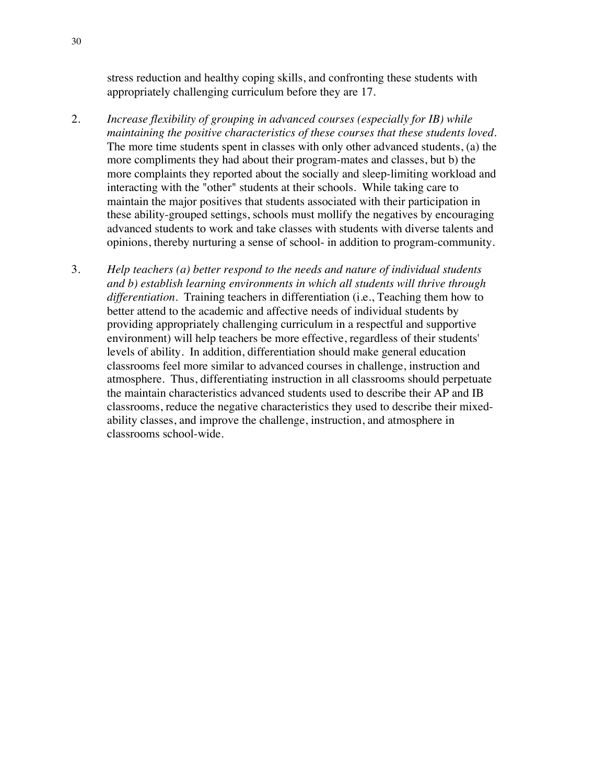stress reduction and healthy coping skills, and confronting these students with appropriately challenging curriculum before they are 17.

- 2. *Increase flexibility of grouping in advanced courses (especially for IB) while maintaining the positive characteristics of these courses that these students loved*. The more time students spent in classes with only other advanced students, (a) the more compliments they had about their program-mates and classes, but b) the more complaints they reported about the socially and sleep-limiting workload and interacting with the "other" students at their schools. While taking care to maintain the major positives that students associated with their participation in these ability-grouped settings, schools must mollify the negatives by encouraging advanced students to work and take classes with students with diverse talents and opinions, thereby nurturing a sense of school- in addition to program-community.
- 3. *Help teachers (a) better respond to the needs and nature of individual students and b) establish learning environments in which all students will thrive through differentiation.* Training teachers in differentiation (i.e., Teaching them how to better attend to the academic and affective needs of individual students by providing appropriately challenging curriculum in a respectful and supportive environment) will help teachers be more effective, regardless of their students' levels of ability. In addition, differentiation should make general education classrooms feel more similar to advanced courses in challenge, instruction and atmosphere. Thus, differentiating instruction in all classrooms should perpetuate the maintain characteristics advanced students used to describe their AP and IB classrooms, reduce the negative characteristics they used to describe their mixedability classes, and improve the challenge, instruction, and atmosphere in classrooms school-wide.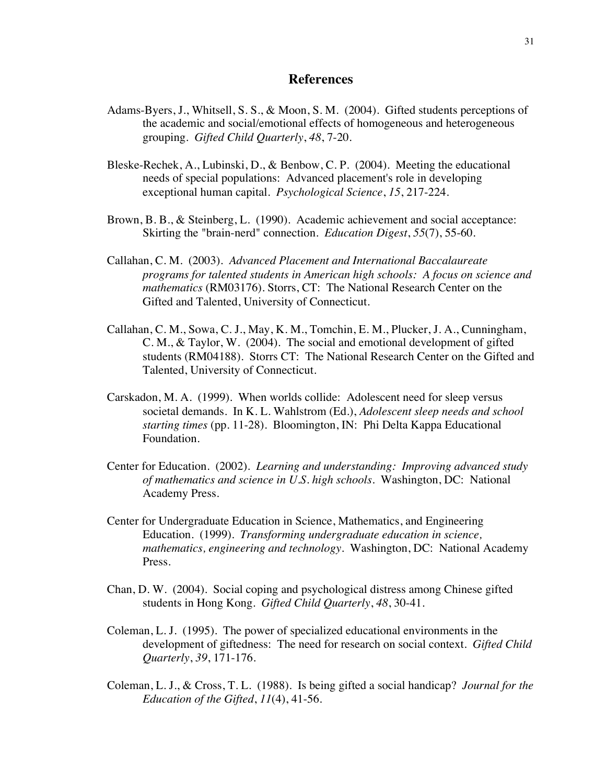### **References**

- Adams-Byers, J., Whitsell, S. S., & Moon, S. M. (2004). Gifted students perceptions of the academic and social/emotional effects of homogeneous and heterogeneous grouping. *Gifted Child Quarterly*, *48*, 7-20.
- Bleske-Rechek, A., Lubinski, D., & Benbow, C. P. (2004). Meeting the educational needs of special populations: Advanced placement's role in developing exceptional human capital. *Psychological Science*, *15*, 217-224.
- Brown, B. B., & Steinberg, L. (1990). Academic achievement and social acceptance: Skirting the "brain-nerd" connection. *Education Digest*, *55*(7), 55-60.
- Callahan, C. M. (2003). *Advanced Placement and International Baccalaureate programs for talented students in American high schools: A focus on science and mathematics* (RM03176). Storrs, CT: The National Research Center on the Gifted and Talented, University of Connecticut.
- Callahan, C. M., Sowa, C. J., May, K. M., Tomchin, E. M., Plucker, J. A., Cunningham, C. M., & Taylor, W. (2004). The social and emotional development of gifted students (RM04188). Storrs CT: The National Research Center on the Gifted and Talented, University of Connecticut.
- Carskadon, M. A. (1999). When worlds collide: Adolescent need for sleep versus societal demands. In K. L. Wahlstrom (Ed.), *Adolescent sleep needs and school starting times* (pp. 11-28). Bloomington, IN: Phi Delta Kappa Educational Foundation.
- Center for Education. (2002). *Learning and understanding: Improving advanced study of mathematics and science in U.S. high schools*. Washington, DC: National Academy Press.
- Center for Undergraduate Education in Science, Mathematics, and Engineering Education. (1999). *Transforming undergraduate education in science, mathematics, engineering and technology.* Washington, DC: National Academy Press.
- Chan, D. W. (2004). Social coping and psychological distress among Chinese gifted students in Hong Kong. *Gifted Child Quarterly*, *48*, 30-41.
- Coleman, L. J. (1995). The power of specialized educational environments in the development of giftedness: The need for research on social context. *Gifted Child Quarterly*, *39*, 171-176.
- Coleman, L. J., & Cross, T. L. (1988). Is being gifted a social handicap? *Journal for the Education of the Gifted*, *11*(4), 41-56.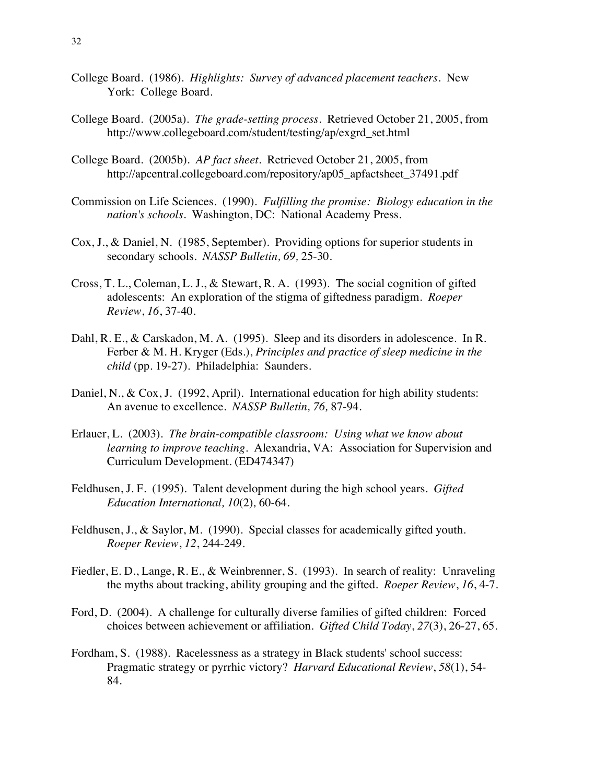- College Board. (1986). *Highlights: Survey of advanced placement teachers.* New York: College Board.
- College Board. (2005a). *The grade-setting process*. Retrieved October 21, 2005, from http://www.collegeboard.com/student/testing/ap/exgrd\_set.html
- College Board. (2005b). *AP fact sheet*. Retrieved October 21, 2005, from http://apcentral.collegeboard.com/repository/ap05\_apfactsheet\_37491.pdf
- Commission on Life Sciences. (1990). *Fulfilling the promise: Biology education in the nation's schools.* Washington, DC: National Academy Press.
- Cox, J., & Daniel, N. (1985, September). Providing options for superior students in secondary schools. *NASSP Bulletin, 69,* 25-30.
- Cross, T. L., Coleman, L. J., & Stewart, R. A. (1993). The social cognition of gifted adolescents: An exploration of the stigma of giftedness paradigm. *Roeper Review*, *16*, 37-40.
- Dahl, R. E., & Carskadon, M. A. (1995). Sleep and its disorders in adolescence. In R. Ferber & M. H. Kryger (Eds.), *Principles and practice of sleep medicine in the child* (pp. 19-27). Philadelphia: Saunders.
- Daniel, N., & Cox, J. (1992, April). International education for high ability students: An avenue to excellence. *NASSP Bulletin, 76,* 87-94.
- Erlauer, L. (2003). *The brain-compatible classroom: Using what we know about learning to improve teaching*. Alexandria, VA: Association for Supervision and Curriculum Development. (ED474347)
- Feldhusen, J. F. (1995). Talent development during the high school years. *Gifted Education International, 10*(2)*,* 60-64.
- Feldhusen, J., & Saylor, M. (1990). Special classes for academically gifted youth. *Roeper Review*, *12*, 244-249.
- Fiedler, E. D., Lange, R. E., & Weinbrenner, S. (1993). In search of reality: Unraveling the myths about tracking, ability grouping and the gifted. *Roeper Review*, *16*, 4-7.
- Ford, D. (2004). A challenge for culturally diverse families of gifted children: Forced choices between achievement or affiliation. *Gifted Child Today*, *27*(3), 26-27, 65.
- Fordham, S. (1988). Racelessness as a strategy in Black students' school success: Pragmatic strategy or pyrrhic victory? *Harvard Educational Review*, *58*(1), 54- 84.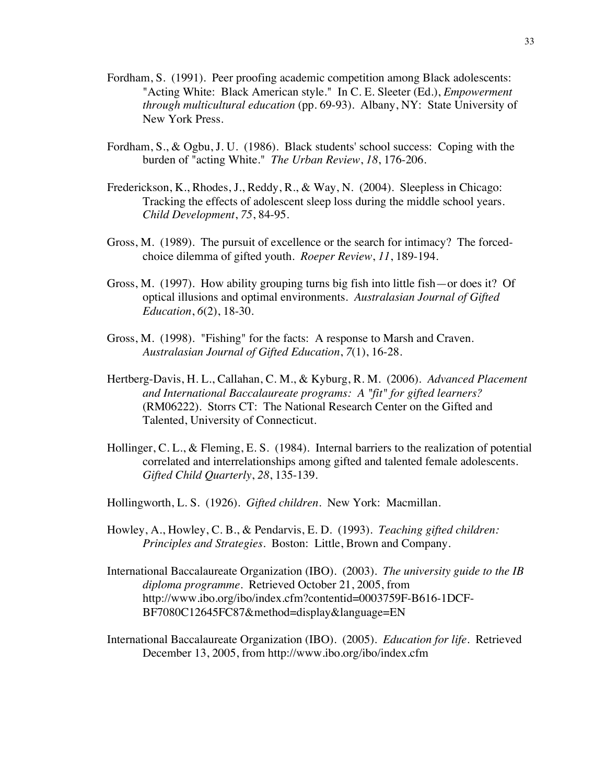- Fordham, S. (1991). Peer proofing academic competition among Black adolescents: "Acting White: Black American style." In C. E. Sleeter (Ed.), *Empowerment through multicultural education* (pp. 69-93). Albany, NY: State University of New York Press.
- Fordham, S., & Ogbu, J. U. (1986). Black students' school success: Coping with the burden of "acting White." *The Urban Review*, *18*, 176-206.
- Frederickson, K., Rhodes, J., Reddy, R., & Way, N. (2004). Sleepless in Chicago: Tracking the effects of adolescent sleep loss during the middle school years. *Child Development*, *75*, 84-95.
- Gross, M. (1989). The pursuit of excellence or the search for intimacy? The forcedchoice dilemma of gifted youth. *Roeper Review*, *11*, 189-194.
- Gross, M. (1997). How ability grouping turns big fish into little fish—or does it? Of optical illusions and optimal environments. *Australasian Journal of Gifted Education*, *6*(2), 18-30.
- Gross, M. (1998). "Fishing" for the facts: A response to Marsh and Craven. *Australasian Journal of Gifted Education*, *7*(1), 16-28.
- Hertberg-Davis, H. L., Callahan, C. M., & Kyburg, R. M. (2006). *Advanced Placement and International Baccalaureate programs: A "fit" for gifted learners?* (RM06222). Storrs CT: The National Research Center on the Gifted and Talented, University of Connecticut.
- Hollinger, C. L., & Fleming, E. S. (1984). Internal barriers to the realization of potential correlated and interrelationships among gifted and talented female adolescents. *Gifted Child Quarterly*, *28*, 135-139.
- Hollingworth, L. S. (1926). *Gifted children*. New York: Macmillan.
- Howley, A., Howley, C. B., & Pendarvis, E. D. (1993). *Teaching gifted children: Principles and Strategies.* Boston: Little, Brown and Company.
- International Baccalaureate Organization (IBO). (2003). *The university guide to the IB diploma programme*. Retrieved October 21, 2005, from http://www.ibo.org/ibo/index.cfm?contentid=0003759F-B616-1DCF-BF7080C12645FC87&method=display&language=EN
- International Baccalaureate Organization (IBO). (2005). *Education for life*. Retrieved December 13, 2005, from http://www.ibo.org/ibo/index.cfm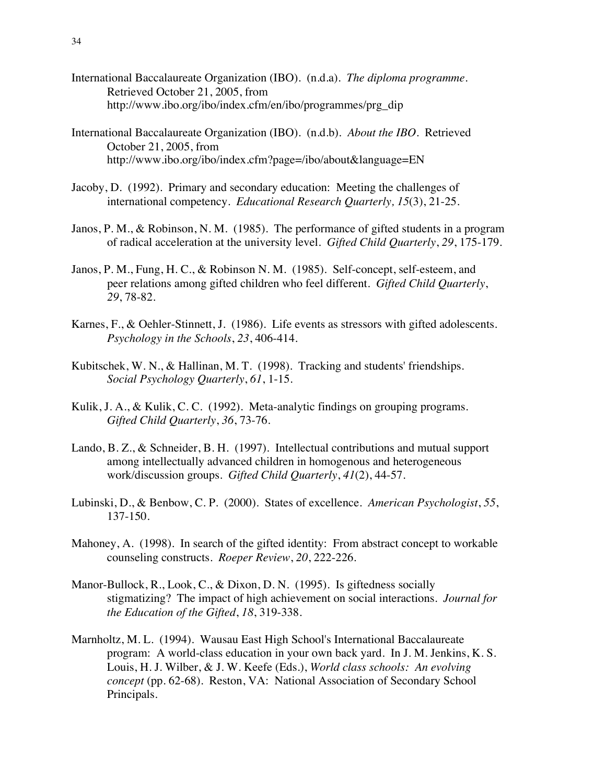- International Baccalaureate Organization (IBO). (n.d.a). *The diploma programme*. Retrieved October 21, 2005, from http://www.ibo.org/ibo/index.cfm/en/ibo/programmes/prg\_dip
- International Baccalaureate Organization (IBO). (n.d.b). *About the IBO*. Retrieved October 21, 2005, from http://www.ibo.org/ibo/index.cfm?page=/ibo/about&language=EN
- Jacoby, D. (1992). Primary and secondary education: Meeting the challenges of international competency. *Educational Research Quarterly, 15*(3), 21-25.
- Janos, P. M., & Robinson, N. M. (1985). The performance of gifted students in a program of radical acceleration at the university level. *Gifted Child Quarterly*, *29*, 175-179.
- Janos, P. M., Fung, H. C., & Robinson N. M. (1985). Self-concept, self-esteem, and peer relations among gifted children who feel different. *Gifted Child Quarterly*, *29*, 78-82.
- Karnes, F., & Oehler-Stinnett, J. (1986). Life events as stressors with gifted adolescents. *Psychology in the Schools*, *23*, 406-414.
- Kubitschek, W. N., & Hallinan, M. T. (1998). Tracking and students' friendships. *Social Psychology Quarterly*, *61*, 1-15.
- Kulik, J. A., & Kulik, C. C. (1992). Meta-analytic findings on grouping programs. *Gifted Child Quarterly*, *36*, 73-76.
- Lando, B. Z., & Schneider, B. H. (1997). Intellectual contributions and mutual support among intellectually advanced children in homogenous and heterogeneous work/discussion groups. *Gifted Child Quarterly*, *41*(2), 44-57.
- Lubinski, D., & Benbow, C. P. (2000). States of excellence. *American Psychologist*, *55*, 137-150.
- Mahoney, A. (1998). In search of the gifted identity: From abstract concept to workable counseling constructs. *Roeper Review*, *20*, 222-226.
- Manor-Bullock, R., Look, C., & Dixon, D. N. (1995). Is giftedness socially stigmatizing? The impact of high achievement on social interactions. *Journal for the Education of the Gifted*, *18*, 319-338.
- Marnholtz, M. L. (1994). Wausau East High School's International Baccalaureate program: A world-class education in your own back yard. In J. M. Jenkins, K. S. Louis, H. J. Wilber, & J. W. Keefe (Eds.), *World class schools: An evolving concept* (pp. 62-68). Reston, VA: National Association of Secondary School Principals.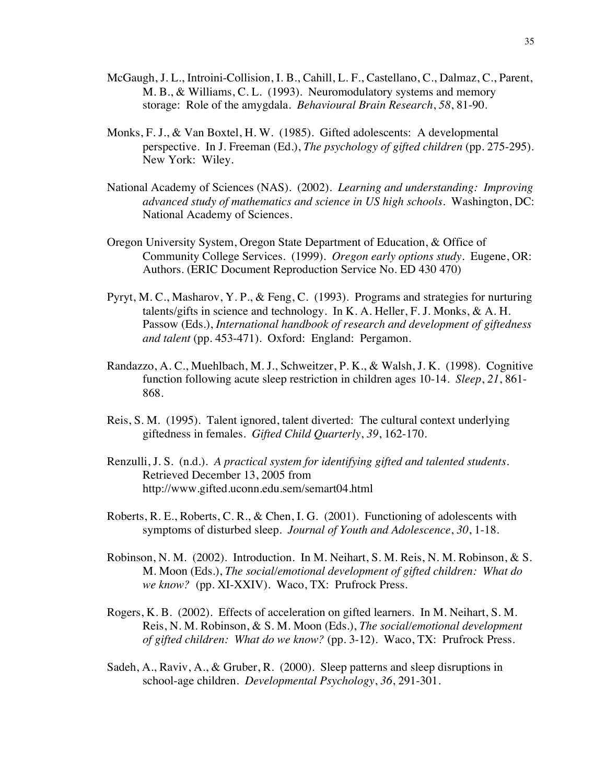- McGaugh, J. L., Introini-Collision, I. B., Cahill, L. F., Castellano, C., Dalmaz, C., Parent, M. B., & Williams, C. L. (1993). Neuromodulatory systems and memory storage: Role of the amygdala. *Behavioural Brain Research*, *58*, 81-90.
- Monks, F. J., & Van Boxtel, H. W. (1985). Gifted adolescents: A developmental perspective. In J. Freeman (Ed.), *The psychology of gifted children* (pp. 275-295). New York: Wiley.
- National Academy of Sciences (NAS). (2002). *Learning and understanding: Improving advanced study of mathematics and science in US high schools.* Washington, DC: National Academy of Sciences.
- Oregon University System, Oregon State Department of Education, & Office of Community College Services. (1999). *Oregon early options study*. Eugene, OR: Authors. (ERIC Document Reproduction Service No. ED 430 470)
- Pyryt, M. C., Masharov, Y. P., & Feng, C. (1993). Programs and strategies for nurturing talents/gifts in science and technology. In K. A. Heller, F. J. Monks, & A. H. Passow (Eds.), *International handbook of research and development of giftedness and talent* (pp. 453-471). Oxford: England: Pergamon.
- Randazzo, A. C., Muehlbach, M. J., Schweitzer, P. K., & Walsh, J. K. (1998). Cognitive function following acute sleep restriction in children ages 10-14. *Sleep*, *21*, 861- 868.
- Reis, S. M. (1995). Talent ignored, talent diverted: The cultural context underlying giftedness in females. *Gifted Child Quarterly*, *39*, 162-170.
- Renzulli, J. S. (n.d.). *A practical system for identifying gifted and talented students*. Retrieved December 13, 2005 from http://www.gifted.uconn.edu.sem/semart04.html
- Roberts, R. E., Roberts, C. R., & Chen, I. G. (2001). Functioning of adolescents with symptoms of disturbed sleep. *Journal of Youth and Adolescence*, *30*, 1-18.
- Robinson, N. M. (2002). Introduction. In M. Neihart, S. M. Reis, N. M. Robinson, & S. M. Moon (Eds.), *The social/emotional development of gifted children: What do we know?* (pp. XI-XXIV). Waco, TX: Prufrock Press.
- Rogers, K. B. (2002). Effects of acceleration on gifted learners. In M. Neihart, S. M. Reis, N. M. Robinson, & S. M. Moon (Eds.), *The social/emotional development of gifted children: What do we know?* (pp. 3-12). Waco, TX: Prufrock Press.
- Sadeh, A., Raviv, A., & Gruber, R. (2000). Sleep patterns and sleep disruptions in school-age children. *Developmental Psychology*, *36*, 291-301.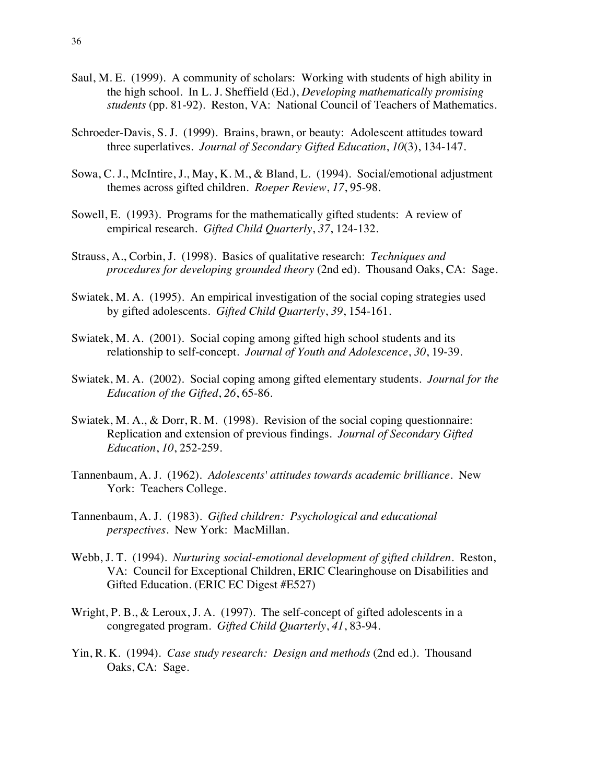- Saul, M. E. (1999). A community of scholars: Working with students of high ability in the high school. In L. J. Sheffield (Ed.), *Developing mathematically promising students* (pp. 81-92). Reston, VA: National Council of Teachers of Mathematics.
- Schroeder-Davis, S. J. (1999). Brains, brawn, or beauty: Adolescent attitudes toward three superlatives. *Journal of Secondary Gifted Education*, *10*(3), 134-147.
- Sowa, C. J., McIntire, J., May, K. M., & Bland, L. (1994). Social/emotional adjustment themes across gifted children. *Roeper Review*, *17*, 95-98.
- Sowell, E. (1993). Programs for the mathematically gifted students: A review of empirical research*. Gifted Child Quarterly*, *37*, 124-132.
- Strauss, A., Corbin, J. (1998). Basics of qualitative research: *Techniques and procedures for developing grounded theory* (2nd ed). Thousand Oaks, CA: Sage.
- Swiatek, M. A. (1995). An empirical investigation of the social coping strategies used by gifted adolescents. *Gifted Child Quarterly*, *39*, 154-161.
- Swiatek, M. A. (2001). Social coping among gifted high school students and its relationship to self-concept. *Journal of Youth and Adolescence*, *30*, 19-39.
- Swiatek, M. A. (2002). Social coping among gifted elementary students. *Journal for the Education of the Gifted*, *26*, 65-86.
- Swiatek, M. A., & Dorr, R. M. (1998). Revision of the social coping questionnaire: Replication and extension of previous findings. *Journal of Secondary Gifted Education*, *10*, 252-259.
- Tannenbaum, A. J. (1962). *Adolescents' attitudes towards academic brilliance*. New York: Teachers College.
- Tannenbaum, A. J. (1983). *Gifted children: Psychological and educational perspectives.* New York: MacMillan.
- Webb, J. T. (1994). *Nurturing social-emotional development of gifted children*. Reston, VA: Council for Exceptional Children, ERIC Clearinghouse on Disabilities and Gifted Education. (ERIC EC Digest #E527)
- Wright, P. B., & Leroux, J. A. (1997). The self-concept of gifted adolescents in a congregated program. *Gifted Child Quarterly*, *41*, 83-94.
- Yin, R. K. (1994). *Case study research: Design and methods* (2nd ed.). Thousand Oaks, CA: Sage.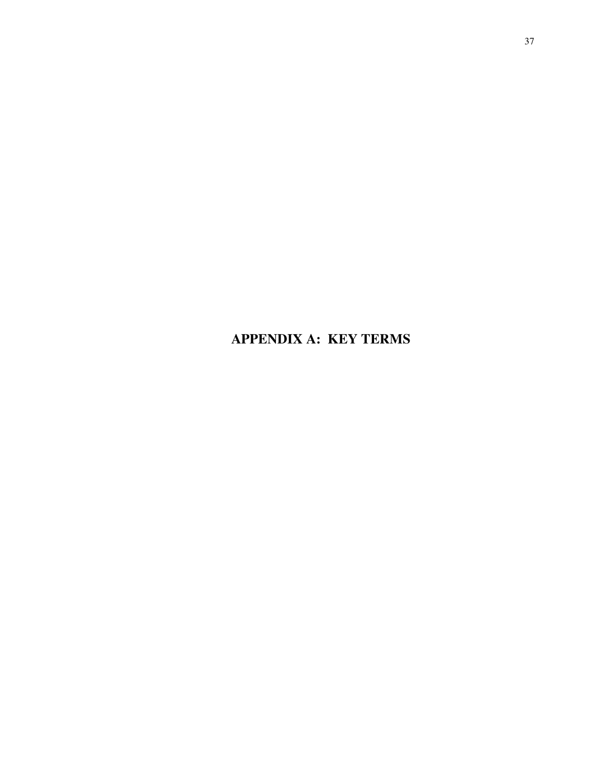**APPENDIX A: KEY TERMS**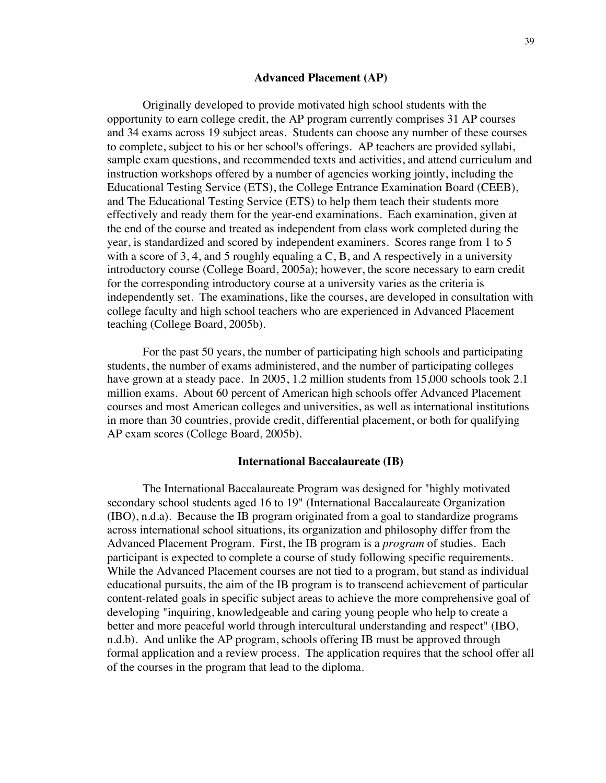#### **Advanced Placement (AP)**

Originally developed to provide motivated high school students with the opportunity to earn college credit, the AP program currently comprises 31 AP courses and 34 exams across 19 subject areas. Students can choose any number of these courses to complete, subject to his or her school's offerings. AP teachers are provided syllabi, sample exam questions, and recommended texts and activities, and attend curriculum and instruction workshops offered by a number of agencies working jointly, including the Educational Testing Service (ETS), the College Entrance Examination Board (CEEB), and The Educational Testing Service (ETS) to help them teach their students more effectively and ready them for the year-end examinations. Each examination, given at the end of the course and treated as independent from class work completed during the year, is standardized and scored by independent examiners. Scores range from 1 to 5 with a score of 3, 4, and 5 roughly equaling a  $C$ ,  $B$ , and  $A$  respectively in a university introductory course (College Board, 2005a); however, the score necessary to earn credit for the corresponding introductory course at a university varies as the criteria is independently set. The examinations, like the courses, are developed in consultation with college faculty and high school teachers who are experienced in Advanced Placement teaching (College Board, 2005b).

For the past 50 years, the number of participating high schools and participating students, the number of exams administered, and the number of participating colleges have grown at a steady pace. In 2005, 1.2 million students from 15,000 schools took 2.1 million exams. About 60 percent of American high schools offer Advanced Placement courses and most American colleges and universities, as well as international institutions in more than 30 countries, provide credit, differential placement, or both for qualifying AP exam scores (College Board, 2005b).

#### **International Baccalaureate (IB)**

The International Baccalaureate Program was designed for "highly motivated secondary school students aged 16 to 19" (International Baccalaureate Organization (IBO), n.d.a). Because the IB program originated from a goal to standardize programs across international school situations, its organization and philosophy differ from the Advanced Placement Program. First, the IB program is a *program* of studies. Each participant is expected to complete a course of study following specific requirements. While the Advanced Placement courses are not tied to a program, but stand as individual educational pursuits, the aim of the IB program is to transcend achievement of particular content-related goals in specific subject areas to achieve the more comprehensive goal of developing "inquiring, knowledgeable and caring young people who help to create a better and more peaceful world through intercultural understanding and respect" (IBO, n.d.b). And unlike the AP program, schools offering IB must be approved through formal application and a review process. The application requires that the school offer all of the courses in the program that lead to the diploma.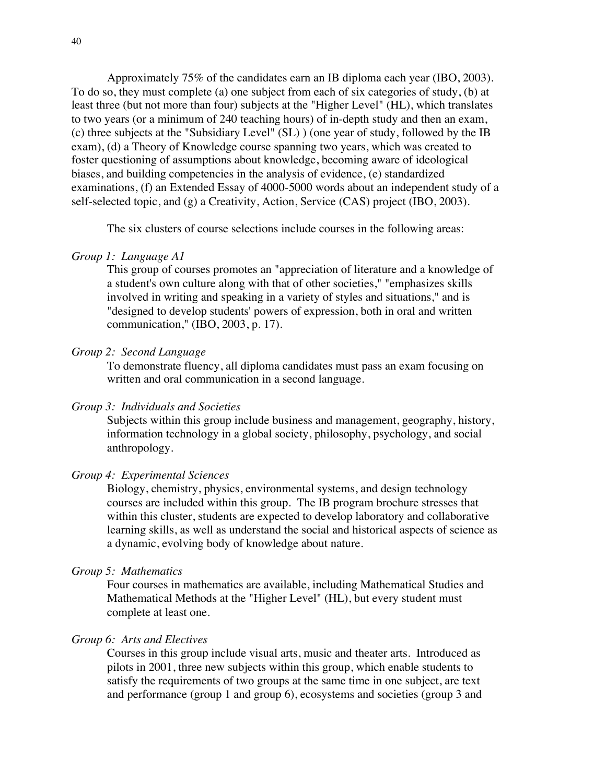Approximately 75% of the candidates earn an IB diploma each year (IBO, 2003). To do so, they must complete (a) one subject from each of six categories of study, (b) at least three (but not more than four) subjects at the "Higher Level" (HL), which translates to two years (or a minimum of 240 teaching hours) of in-depth study and then an exam, (c) three subjects at the "Subsidiary Level" (SL) ) (one year of study, followed by the IB exam), (d) a Theory of Knowledge course spanning two years, which was created to foster questioning of assumptions about knowledge, becoming aware of ideological biases, and building competencies in the analysis of evidence, (e) standardized examinations, (f) an Extended Essay of 4000-5000 words about an independent study of a self-selected topic, and (g) a Creativity, Action, Service (CAS) project (IBO, 2003).

The six clusters of course selections include courses in the following areas:

#### *Group 1: Language A1*

This group of courses promotes an "appreciation of literature and a knowledge of a student's own culture along with that of other societies," "emphasizes skills involved in writing and speaking in a variety of styles and situations," and is "designed to develop students' powers of expression, both in oral and written communication," (IBO, 2003, p. 17).

## *Group 2: Second Language*

To demonstrate fluency, all diploma candidates must pass an exam focusing on written and oral communication in a second language.

#### *Group 3: Individuals and Societies*

Subjects within this group include business and management, geography, history, information technology in a global society, philosophy, psychology, and social anthropology.

### *Group 4: Experimental Sciences*

Biology, chemistry, physics, environmental systems, and design technology courses are included within this group. The IB program brochure stresses that within this cluster, students are expected to develop laboratory and collaborative learning skills, as well as understand the social and historical aspects of science as a dynamic, evolving body of knowledge about nature.

#### *Group 5: Mathematics*

Four courses in mathematics are available, including Mathematical Studies and Mathematical Methods at the "Higher Level" (HL), but every student must complete at least one.

#### *Group 6: Arts and Electives*

Courses in this group include visual arts, music and theater arts. Introduced as pilots in 2001, three new subjects within this group, which enable students to satisfy the requirements of two groups at the same time in one subject, are text and performance (group 1 and group 6), ecosystems and societies (group 3 and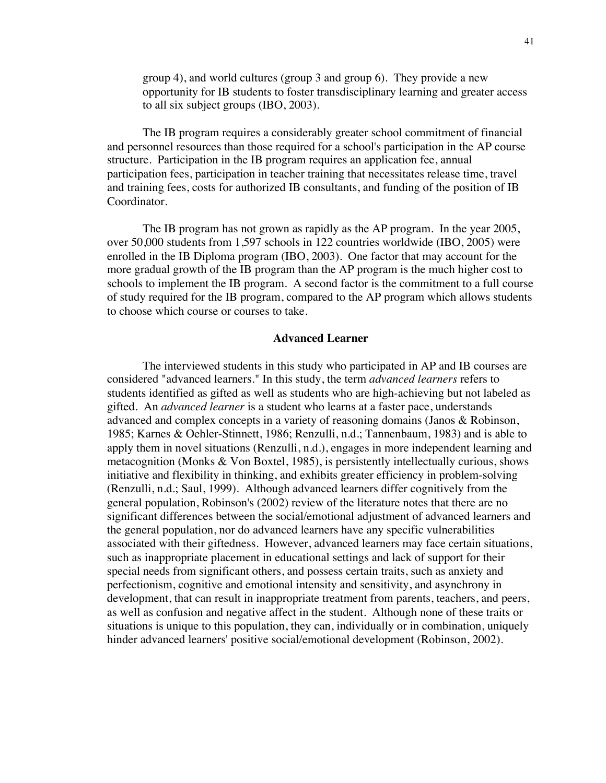group 4), and world cultures (group 3 and group 6). They provide a new opportunity for IB students to foster transdisciplinary learning and greater access to all six subject groups (IBO, 2003).

The IB program requires a considerably greater school commitment of financial and personnel resources than those required for a school's participation in the AP course structure. Participation in the IB program requires an application fee, annual participation fees, participation in teacher training that necessitates release time, travel and training fees, costs for authorized IB consultants, and funding of the position of IB Coordinator.

The IB program has not grown as rapidly as the AP program. In the year 2005, over 50,000 students from 1,597 schools in 122 countries worldwide (IBO, 2005) were enrolled in the IB Diploma program (IBO, 2003). One factor that may account for the more gradual growth of the IB program than the AP program is the much higher cost to schools to implement the IB program. A second factor is the commitment to a full course of study required for the IB program, compared to the AP program which allows students to choose which course or courses to take.

#### **Advanced Learner**

The interviewed students in this study who participated in AP and IB courses are considered "advanced learners." In this study, the term *advanced learners* refers to students identified as gifted as well as students who are high-achieving but not labeled as gifted. An *advanced learner* is a student who learns at a faster pace, understands advanced and complex concepts in a variety of reasoning domains (Janos & Robinson, 1985; Karnes & Oehler-Stinnett, 1986; Renzulli, n.d.; Tannenbaum, 1983) and is able to apply them in novel situations (Renzulli, n.d.), engages in more independent learning and metacognition (Monks  $&$  Von Boxtel, 1985), is persistently intellectually curious, shows initiative and flexibility in thinking, and exhibits greater efficiency in problem-solving (Renzulli, n.d.; Saul, 1999). Although advanced learners differ cognitively from the general population, Robinson's (2002) review of the literature notes that there are no significant differences between the social/emotional adjustment of advanced learners and the general population, nor do advanced learners have any specific vulnerabilities associated with their giftedness. However, advanced learners may face certain situations, such as inappropriate placement in educational settings and lack of support for their special needs from significant others, and possess certain traits, such as anxiety and perfectionism, cognitive and emotional intensity and sensitivity, and asynchrony in development, that can result in inappropriate treatment from parents, teachers, and peers, as well as confusion and negative affect in the student. Although none of these traits or situations is unique to this population, they can, individually or in combination, uniquely hinder advanced learners' positive social/emotional development (Robinson, 2002).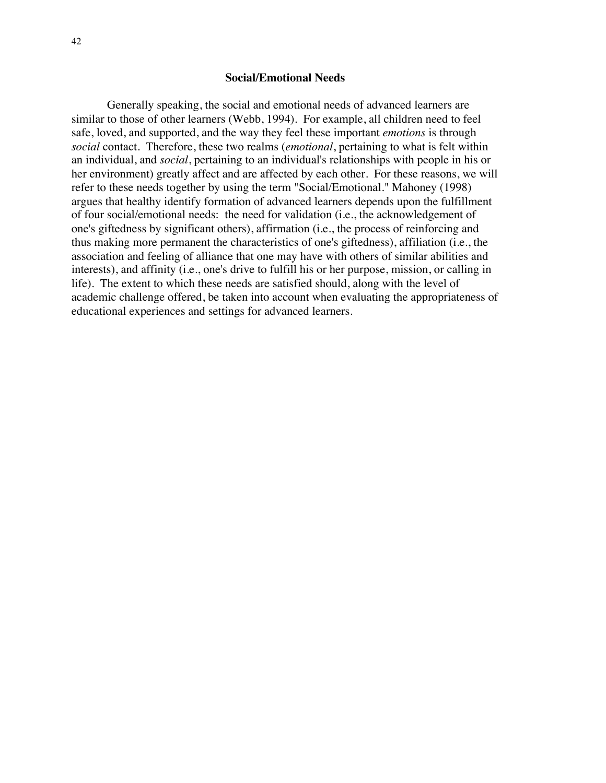#### **Social/Emotional Needs**

Generally speaking, the social and emotional needs of advanced learners are similar to those of other learners (Webb, 1994). For example, all children need to feel safe, loved, and supported, and the way they feel these important *emotions* is through *social* contact. Therefore, these two realms (*emotional*, pertaining to what is felt within an individual, and *social*, pertaining to an individual's relationships with people in his or her environment) greatly affect and are affected by each other. For these reasons, we will refer to these needs together by using the term "Social/Emotional." Mahoney (1998) argues that healthy identify formation of advanced learners depends upon the fulfillment of four social/emotional needs: the need for validation (i.e., the acknowledgement of one's giftedness by significant others), affirmation (i.e., the process of reinforcing and thus making more permanent the characteristics of one's giftedness), affiliation (i.e., the association and feeling of alliance that one may have with others of similar abilities and interests), and affinity (i.e., one's drive to fulfill his or her purpose, mission, or calling in life). The extent to which these needs are satisfied should, along with the level of academic challenge offered, be taken into account when evaluating the appropriateness of educational experiences and settings for advanced learners.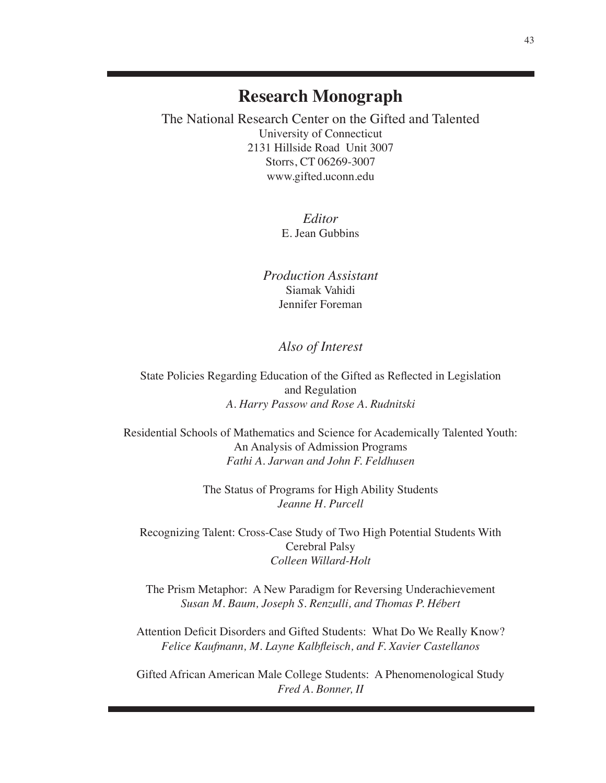# **Research Monograph**

The National Research Center on the Gifted and Talented University of Connecticut 2131 Hillside Road Unit 3007 Storrs, CT 06269-3007 www.gifted.uconn.edu

> *Editor* E. Jean Gubbins

*Production Assistant* Siamak Vahidi Jennifer Foreman

## *Also of Interest*

State Policies Regarding Education of the Gifted as Reflected in Legislation and Regulation *A. Harry Passow and Rose A. Rudnitski*

Residential Schools of Mathematics and Science for Academically Talented Youth: An Analysis of Admission Programs *Fathi A. Jarwan and John F. Feldhusen*

> The Status of Programs for High Ability Students *Jeanne H. Purcell*

Recognizing Talent: Cross-Case Study of Two High Potential Students With Cerebral Palsy *Colleen Willard-Holt*

The Prism Metaphor: A New Paradigm for Reversing Underachievement *Susan M. Baum, Joseph S. Renzulli, and Thomas P. Hébert*

Attention Deficit Disorders and Gifted Students: What Do We Really Know? *Felice Kaufmann, M. Layne Kalbfleisch, and F. Xavier Castellanos*

Gifted African American Male College Students: A Phenomenological Study *Fred A. Bonner, II*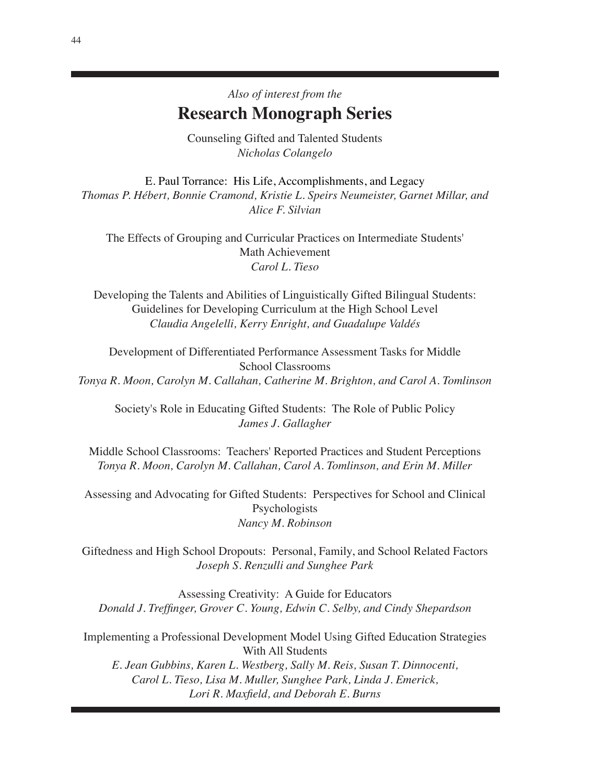Counseling Gifted and Talented Students *Nicholas Colangelo*

E. Paul Torrance: His Life, Accomplishments, and Legacy *Thomas P. Hébert, Bonnie Cramond, Kristie L. Speirs Neumeister, Garnet Millar, and Alice F. Silvian*

The Effects of Grouping and Curricular Practices on Intermediate Students' Math Achievement *Carol L. Tieso*

Developing the Talents and Abilities of Linguistically Gifted Bilingual Students: Guidelines for Developing Curriculum at the High School Level *Claudia Angelelli, Kerry Enright, and Guadalupe Valdés*

Development of Differentiated Performance Assessment Tasks for Middle School Classrooms *Tonya R. Moon, Carolyn M. Callahan, Catherine M. Brighton, and Carol A. Tomlinson*

Society's Role in Educating Gifted Students: The Role of Public Policy *James J. Gallagher*

Middle School Classrooms: Teachers' Reported Practices and Student Perceptions *Tonya R. Moon, Carolyn M. Callahan, Carol A. Tomlinson, and Erin M. Miller*

Assessing and Advocating for Gifted Students: Perspectives for School and Clinical Psychologists *Nancy M. Robinson*

Giftedness and High School Dropouts: Personal, Family, and School Related Factors *Joseph S. Renzulli and Sunghee Park*

Assessing Creativity: A Guide for Educators *Donald J. Treffinger, Grover C. Young, Edwin C. Selby, and Cindy Shepardson*

Implementing a Professional Development Model Using Gifted Education Strategies With All Students

*E. Jean Gubbins, Karen L. Westberg, Sally M. Reis, Susan T. Dinnocenti, Carol L. Tieso, Lisa M. Muller, Sunghee Park, Linda J. Emerick, Lori R. Maxfield, and Deborah E. Burns*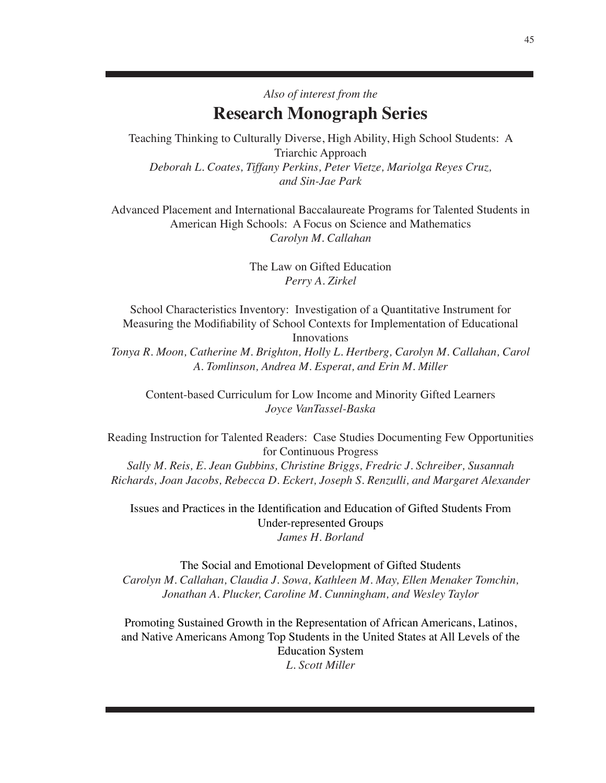Teaching Thinking to Culturally Diverse, High Ability, High School Students: A Triarchic Approach *Deborah L. Coates, Tiffany Perkins, Peter Vietze, Mariolga Reyes Cruz, and Sin-Jae Park*

Advanced Placement and International Baccalaureate Programs for Talented Students in American High Schools: A Focus on Science and Mathematics *Carolyn M. Callahan*

> The Law on Gifted Education *Perry A. Zirkel*

School Characteristics Inventory: Investigation of a Quantitative Instrument for Measuring the Modifiability of School Contexts for Implementation of Educational Innovations

*Tonya R. Moon, Catherine M. Brighton, Holly L. Hertberg, Carolyn M. Callahan, Carol A. Tomlinson, Andrea M. Esperat, and Erin M. Miller*

Content-based Curriculum for Low Income and Minority Gifted Learners *Joyce VanTassel-Baska*

Reading Instruction for Talented Readers: Case Studies Documenting Few Opportunities for Continuous Progress

*Sally M. Reis, E. Jean Gubbins, Christine Briggs, Fredric J. Schreiber, Susannah Richards, Joan Jacobs, Rebecca D. Eckert, Joseph S. Renzulli, and Margaret Alexander*

Issues and Practices in the Identification and Education of Gifted Students From Under-represented Groups *James H. Borland*

The Social and Emotional Development of Gifted Students *Carolyn M. Callahan, Claudia J. Sowa, Kathleen M. May, Ellen Menaker Tomchin, Jonathan A. Plucker, Caroline M. Cunningham, and Wesley Taylor*

Promoting Sustained Growth in the Representation of African Americans, Latinos, and Native Americans Among Top Students in the United States at All Levels of the Education System *L. Scott Miller*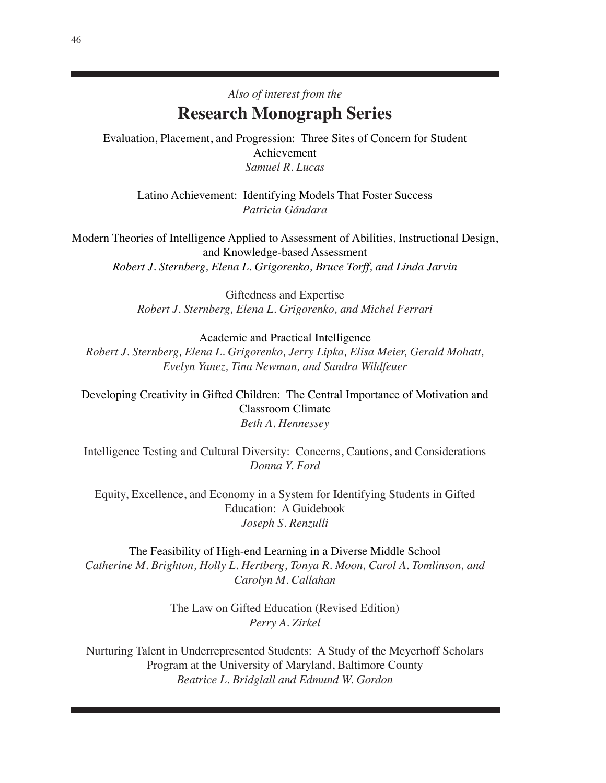Evaluation, Placement, and Progression: Three Sites of Concern for Student Achievement *Samuel R. Lucas*

Latino Achievement: Identifying Models That Foster Success *Patricia Gándara*

Modern Theories of Intelligence Applied to Assessment of Abilities, Instructional Design, and Knowledge-based Assessment *Robert J. Sternberg, Elena L. Grigorenko, Bruce Torff, and Linda Jarvin*

> Giftedness and Expertise *Robert J. Sternberg, Elena L. Grigorenko, and Michel Ferrari*

Academic and Practical Intelligence *Robert J. Sternberg, Elena L. Grigorenko, Jerry Lipka, Elisa Meier, Gerald Mohatt, Evelyn Yanez, Tina Newman, and Sandra Wildfeuer*

Developing Creativity in Gifted Children: The Central Importance of Motivation and Classroom Climate *Beth A. Hennessey*

Intelligence Testing and Cultural Diversity: Concerns, Cautions, and Considerations *Donna Y. Ford*

Equity, Excellence, and Economy in a System for Identifying Students in Gifted Education: A Guidebook *Joseph S. Renzulli*

The Feasibility of High-end Learning in a Diverse Middle School *Catherine M. Brighton, Holly L. Hertberg, Tonya R. Moon, Carol A. Tomlinson, and Carolyn M. Callahan*

> The Law on Gifted Education (Revised Edition) *Perry A. Zirkel*

Nurturing Talent in Underrepresented Students: A Study of the Meyerhoff Scholars Program at the University of Maryland, Baltimore County *Beatrice L. Bridglall and Edmund W. Gordon*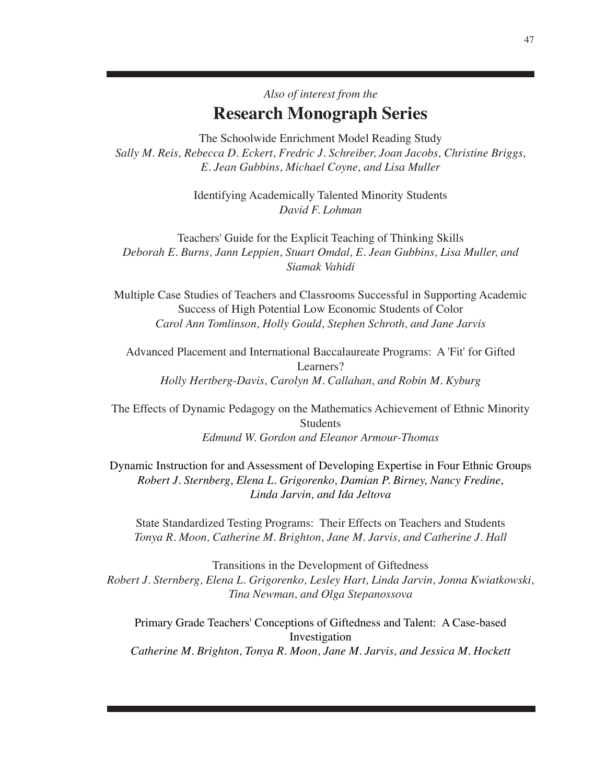The Schoolwide Enrichment Model Reading Study *Sally M. Reis, Rebecca D. Eckert, Fredric J. Schreiber, Joan Jacobs, Christine Briggs, E. Jean Gubbins, Michael Coyne, and Lisa Muller*

> Identifying Academically Talented Minority Students *David F. Lohman*

Teachers' Guide for the Explicit Teaching of Thinking Skills *Deborah E. Burns, Jann Leppien, Stuart Omdal, E. Jean Gubbins, Lisa Muller, and Siamak Vahidi*

Multiple Case Studies of Teachers and Classrooms Successful in Supporting Academic Success of High Potential Low Economic Students of Color *Carol Ann Tomlinson, Holly Gould, Stephen Schroth, and Jane Jarvis*

Advanced Placement and International Baccalaureate Programs: A 'Fit' for Gifted Learners? *Holly Hertberg-Davis, Carolyn M. Callahan, and Robin M. Kyburg*

The Effects of Dynamic Pedagogy on the Mathematics Achievement of Ethnic Minority Students *Edmund W. Gordon and Eleanor Armour-Thomas*

Dynamic Instruction for and Assessment of Developing Expertise in Four Ethnic Groups *Robert J. Sternberg, Elena L. Grigorenko, Damian P. Birney, Nancy Fredine, Linda Jarvin, and Ida Jeltova*

State Standardized Testing Programs: Their Effects on Teachers and Students *Tonya R. Moon, Catherine M. Brighton, Jane M. Jarvis, and Catherine J. Hall*

Transitions in the Development of Giftedness *Robert J. Sternberg, Elena L. Grigorenko, Lesley Hart, Linda Jarvin, Jonna Kwiatkowski, Tina Newman, and Olga Stepanossova*

Primary Grade Teachers' Conceptions of Giftedness and Talent: A Case-based Investigation *Catherine M. Brighton, Tonya R. Moon, Jane M. Jarvis, and Jessica M. Hockett*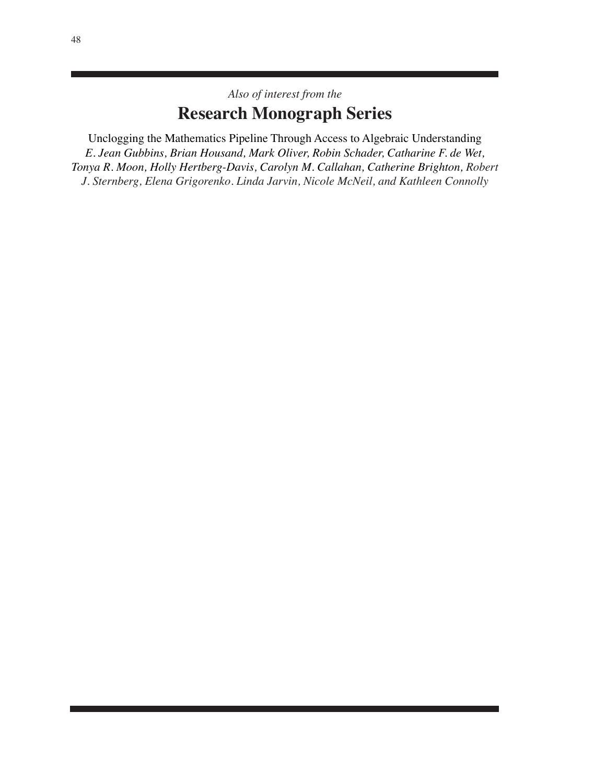Unclogging the Mathematics Pipeline Through Access to Algebraic Understanding *E. Jean Gubbins, Brian Housand, Mark Oliver, Robin Schader, Catharine F. de Wet, Tonya R. Moon, Holly Hertberg-Davis, Carolyn M. Callahan, Catherine Brighton, Robert J. Sternberg, Elena Grigorenko. Linda Jarvin, Nicole McNeil, and Kathleen Connolly*